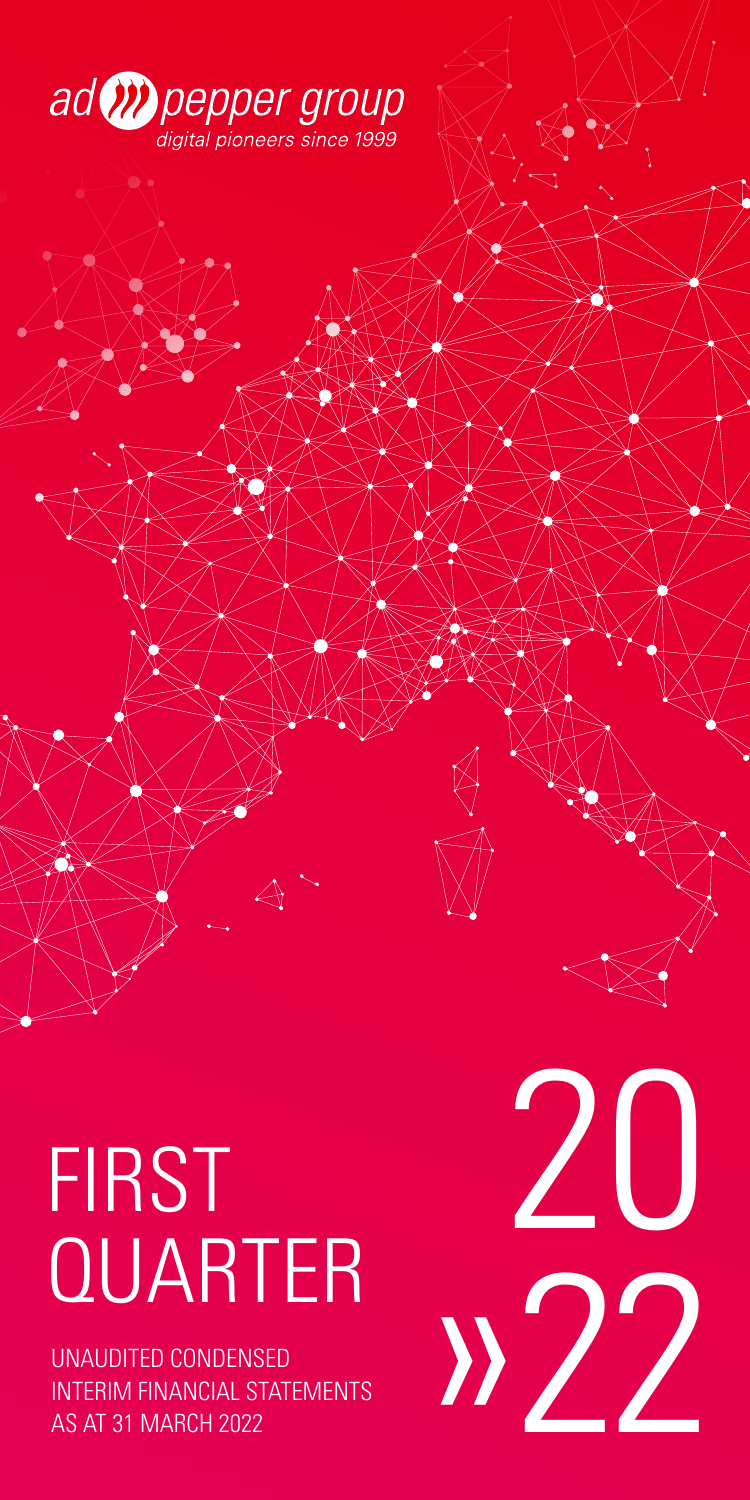

 $\Sigma$ 

# FIRST<br>QUARTER

UNAUDITED CONDENSED INTERIM FINANCIAL STATEMENTS AS AT 31 MARCH 2022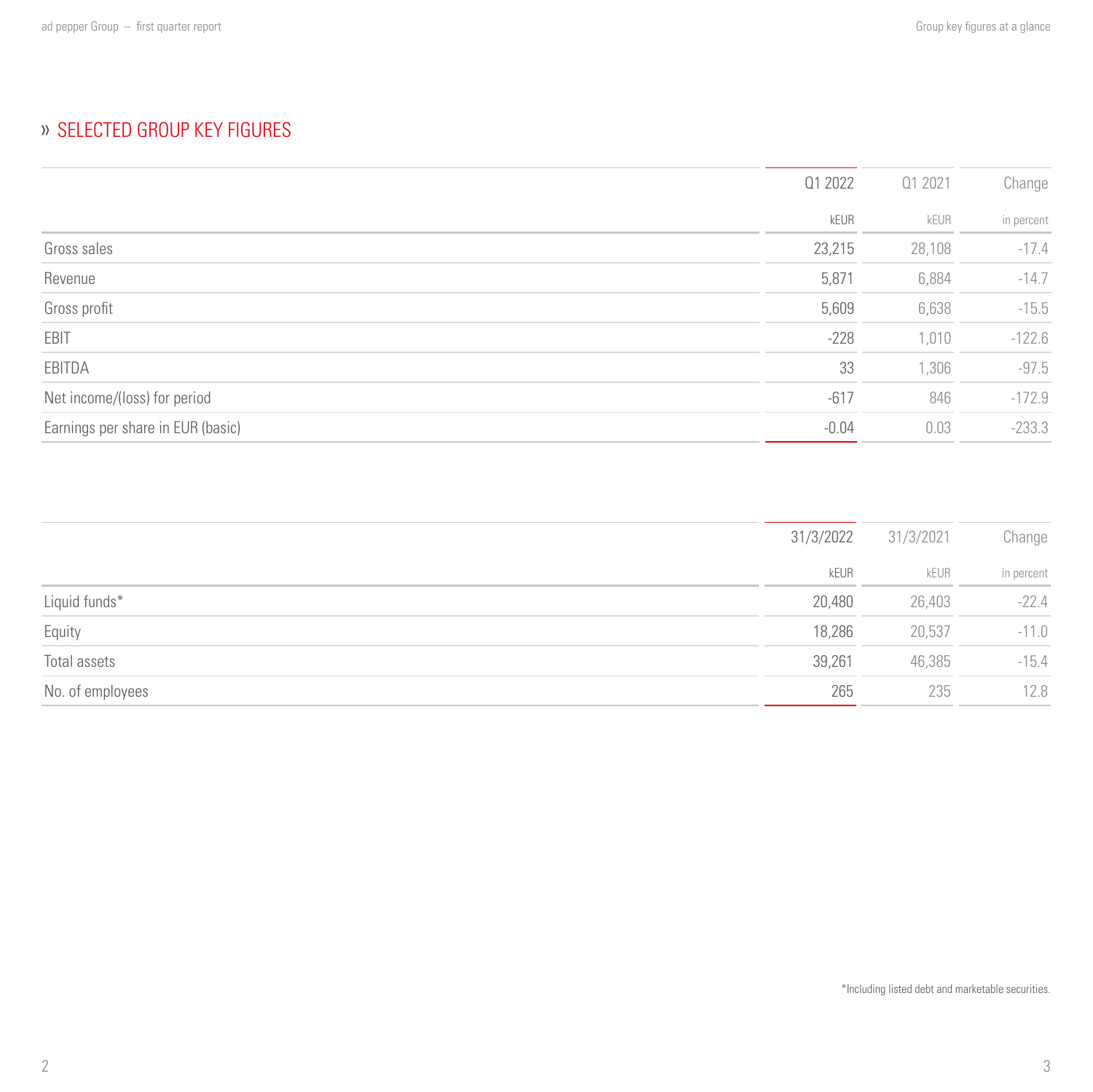# » SELECTED GROUP KEY FIGURES

|                                   | 01 2022 | 01 2021 | Change     |
|-----------------------------------|---------|---------|------------|
|                                   | kEUR    | kEUR    | in percent |
| Gross sales                       | 23,215  | 28,108  | $-17.4$    |
| Revenue                           | 5,871   | 6,884   | $-14.7$    |
| Gross profit                      | 5,609   | 6,638   | $-15.5$    |
| EBIT                              | $-228$  | 1,010   | $-122.6$   |
| EBITDA                            | 33      | 1,306   | $-97.5$    |
| Net income/(loss) for period      | $-617$  | 846     | $-172.9$   |
| Earnings per share in EUR (basic) | $-0.04$ | 0.03    | $-233.3$   |

|                  | 31/3/2022 | 31/3/2021 | Change     |
|------------------|-----------|-----------|------------|
|                  | kEUR      | kEUR      | in percent |
| Liquid funds*    | 20,480    | 26,403    | $-22.4$    |
| Equity           | 18,286    | 20,537    | $-11.0$    |
| Total assets     | 39,261    | 46,385    | $-15.4$    |
| No. of employees | 265       | 235       | 12.8       |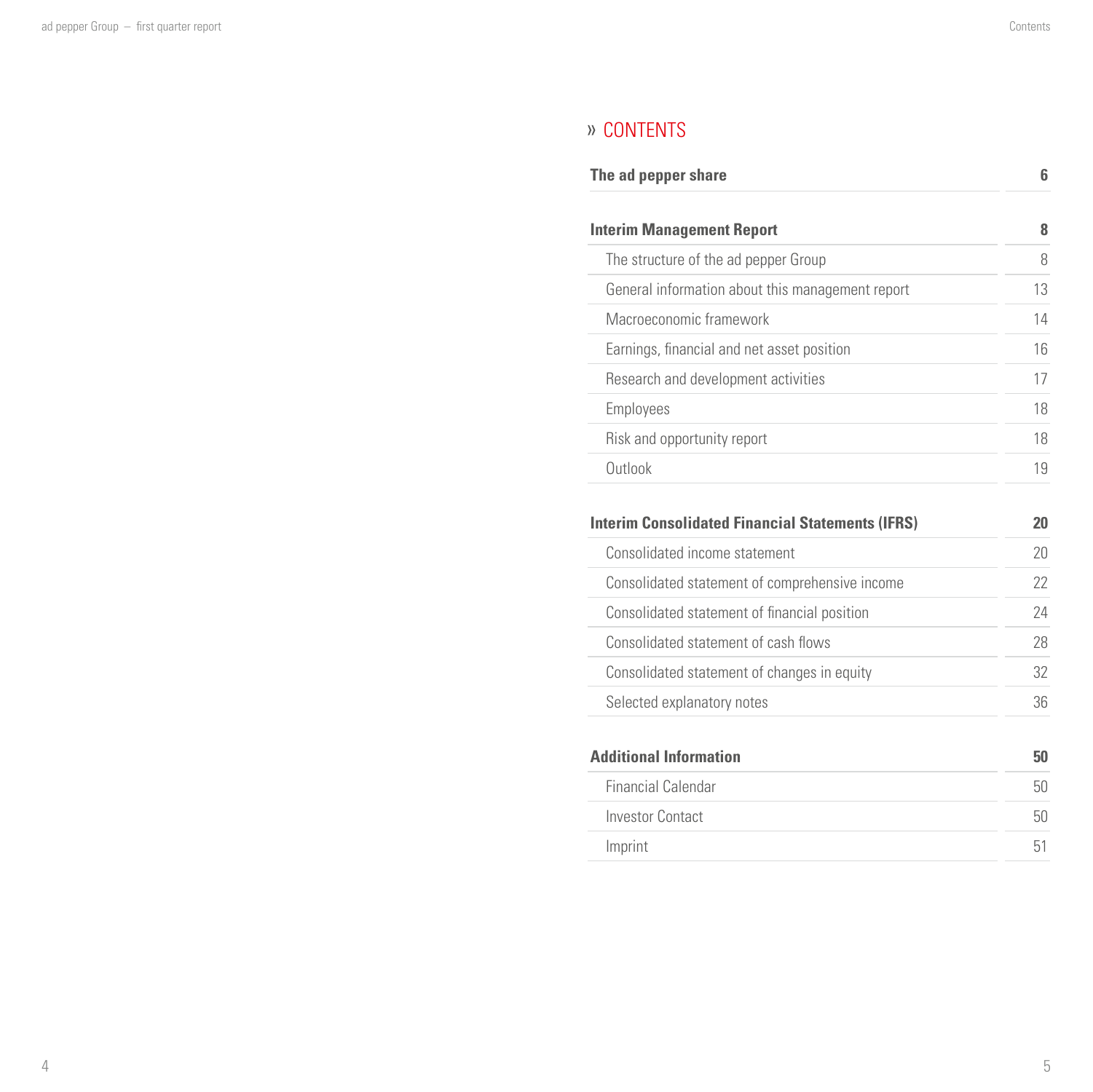# » CONTENTS

| The ad pepper share              | 6 |
|----------------------------------|---|
|                                  |   |
| <b>Interim Management Report</b> | ጸ |

| The structure of the ad pepper Group             | 8  |
|--------------------------------------------------|----|
| General information about this management report | 13 |
| Macroeconomic framework                          | 14 |
| Earnings, financial and net asset position       | 16 |
| Research and development activities              |    |
| Employees                                        | 18 |
| Risk and opportunity report                      | 18 |
| Outlook                                          |    |

| <b>Interim Consolidated Financial Statements (IFRS)</b> | 20 |
|---------------------------------------------------------|----|
| Consolidated income statement                           | 20 |
| Consolidated statement of comprehensive income          | 22 |
| Consolidated statement of financial position            | 24 |
| Consolidated statement of cash flows                    | 28 |
| Consolidated statement of changes in equity             | 32 |
| Selected explanatory notes                              | 36 |
| <b>Additional Information</b>                           | 50 |
| <b>Financial Calendar</b>                               | 50 |
| <b>Investor Contact</b>                                 | 50 |

 [Imprint](#page-25-0) 51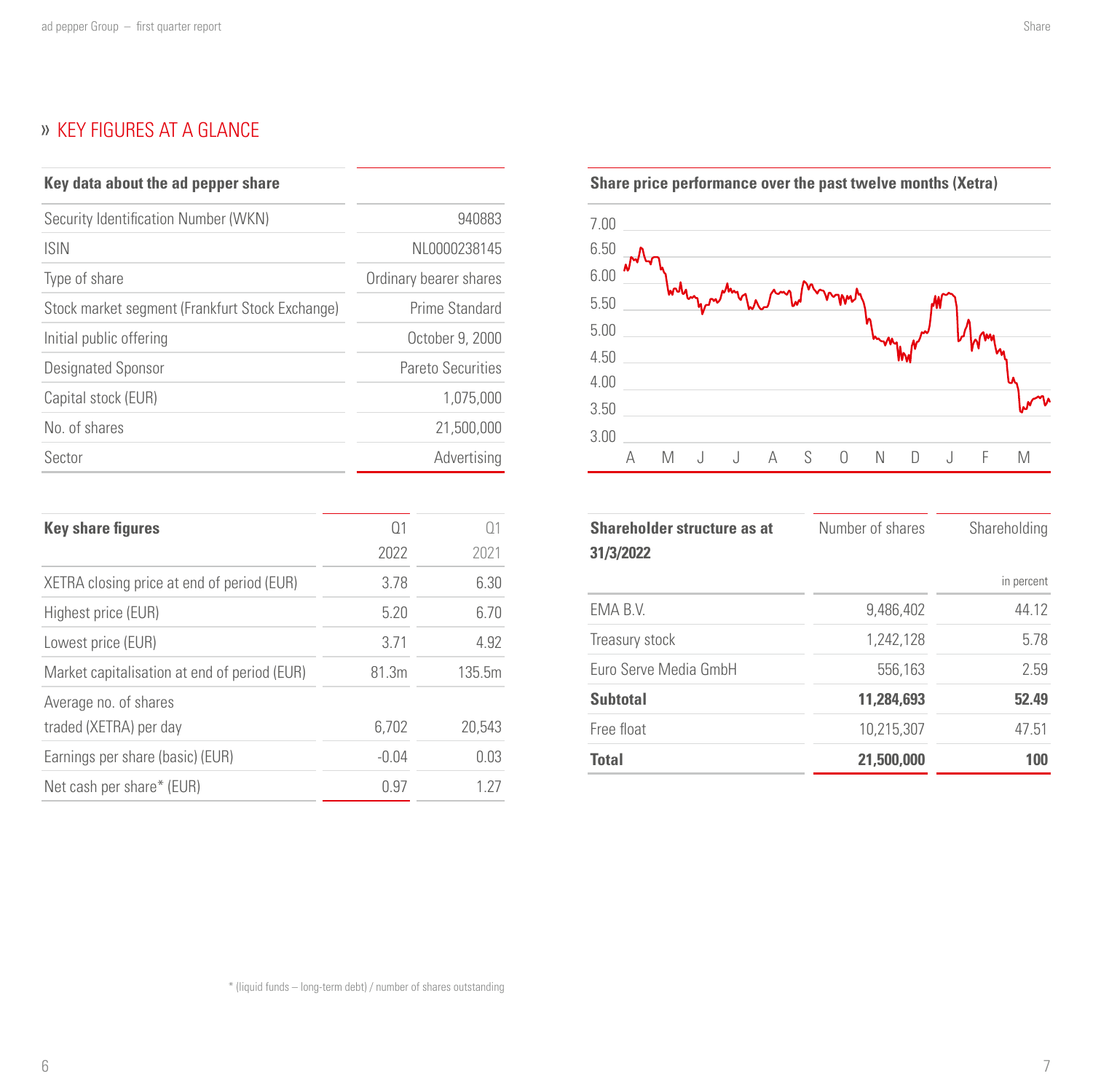# <span id="page-3-0"></span>» KEY FIGURES AT A GLANCE

| Key data about the ad pepper share              |                        |
|-------------------------------------------------|------------------------|
| Security Identification Number (WKN)            | 940883                 |
| <b>ISIN</b>                                     | NL0000238145           |
| Type of share                                   | Ordinary bearer shares |
| Stock market segment (Frankfurt Stock Exchange) | Prime Standard         |
| Initial public offering                         | October 9, 2000        |
| Designated Sponsor                              | Pareto Securities      |
| Capital stock (EUR)                             | 1.075.000              |
| No. of shares                                   | 21,500,000             |
| Sector                                          | Advertising            |

| <b>Key share figures</b>                        | $\Omega$ 1 | ()1    |
|-------------------------------------------------|------------|--------|
|                                                 | 2022       | 2021   |
| XETRA closing price at end of period (EUR)      | 3.78       | 6.30   |
| Highest price (EUR)                             | 5.20       | 6.70   |
| Lowest price (EUR)                              | 3.71       | 4.92   |
| Market capitalisation at end of period (EUR)    | 81.3m      | 135.5m |
| Average no. of shares<br>traded (XETRA) per day | 6.702      | 20.543 |
| Earnings per share (basic) (EUR)                | $-0.04$    | 0.03   |
| Net cash per share* (EUR)                       | 0.97       | 1 27   |

**Share price performance over the past twelve months (Xetra)**



| <b>Shareholder structure as at</b><br>31/3/2022 | Number of shares | Shareholding |
|-------------------------------------------------|------------------|--------------|
|                                                 |                  | in percent   |
| EMA B.V.                                        | 9,486,402        | 44.12        |
| Treasury stock                                  | 1,242,128        | 5.78         |
| Euro Serve Media GmbH                           | 556,163          | 2.59         |
| <b>Subtotal</b>                                 | 11.284.693       | 52.49        |
| Free float                                      | 10,215,307       | 47.51        |
| <b>Total</b>                                    | 21,500,000       | 100          |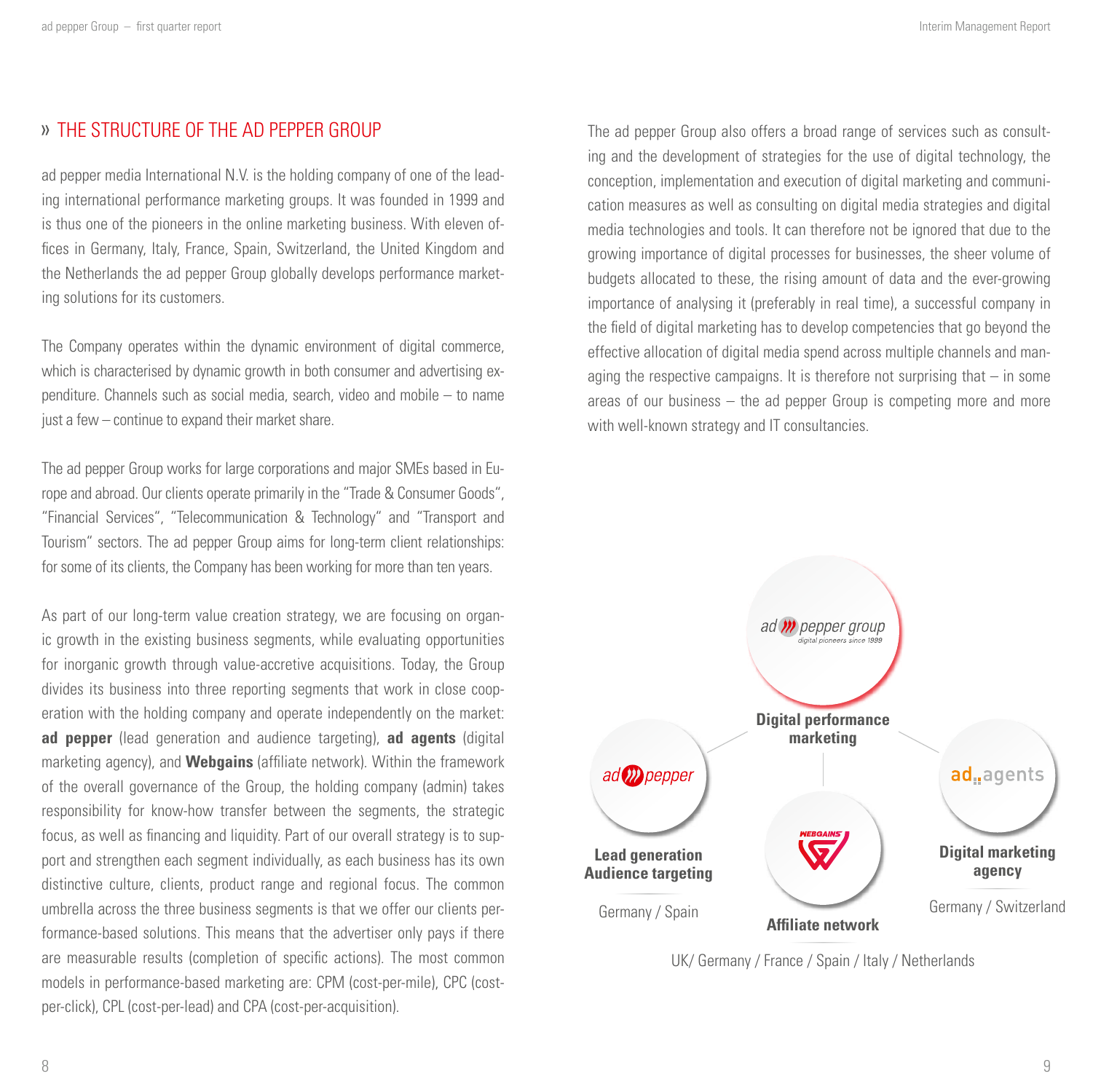## <span id="page-4-0"></span>THE STRUCTURE OF THE AD PEPPER GROUP

ad pepper media International N.V. is the holding company of one of the leading international performance marketing groups. It was founded in 1999 and is thus one of the pioneers in the online marketing business. With eleven offices in Germany, Italy, France, Spain, Switzerland, the United Kingdom and the Netherlands the ad pepper Group globally develops performance marketing solutions for its customers.

The Company operates within the dynamic environment of digital commerce, which is characterised by dynamic growth in both consumer and advertising expenditure. Channels such as social media, search, video and mobile – to name just a few – continue to expand their market share.

The ad pepper Group works for large corporations and major SMEs based in Europe and abroad. Our clients operate primarily in the "Trade & Consumer Goods", "Financial Services", "Telecommunication & Technology" and "Transport and Tourism" sectors. The ad pepper Group aims for long-term client relationships: for some of its clients, the Company has been working for more than ten years.

As part of our long-term value creation strategy, we are focusing on organic growth in the existing business segments, while evaluating opportunities for inorganic growth through value-accretive acquisitions. Today, the Group divides its business into three reporting segments that work in close cooperation with the holding company and operate independently on the market: **ad pepper** (lead generation and audience targeting), **ad agents** (digital marketing agency), and **Webgains** (affiliate network). Within the framework of the overall governance of the Group, the holding company (admin) takes responsibility for know-how transfer between the segments, the strategic focus, as well as financing and liquidity. Part of our overall strategy is to support and strengthen each segment individually, as each business has its own distinctive culture, clients, product range and regional focus. The common umbrella across the three business segments is that we offer our clients performance-based solutions. This means that the advertiser only pays if there are measurable results (completion of specific actions). The most common models in performance-based marketing are: CPM (cost-per-mile), CPC (costper-click), CPL (cost-per-lead) and CPA (cost-per-acquisition).

The ad pepper Group also offers a broad range of services such as consulting and the development of strategies for the use of digital technology, the conception, implementation and execution of digital marketing and communication measures as well as consulting on digital media strategies and digital media technologies and tools. It can therefore not be ignored that due to the growing importance of digital processes for businesses, the sheer volume of budgets allocated to these, the rising amount of data and the ever-growing importance of analysing it (preferably in real time), a successful company in the field of digital marketing has to develop competencies that go beyond the effective allocation of digital media spend across multiple channels and managing the respective campaigns. It is therefore not surprising that  $-$  in some areas of our business – the ad pepper Group is competing more and more with well-known strategy and IT consultancies.



UK/ Germany / France / Spain / Italy / Netherlands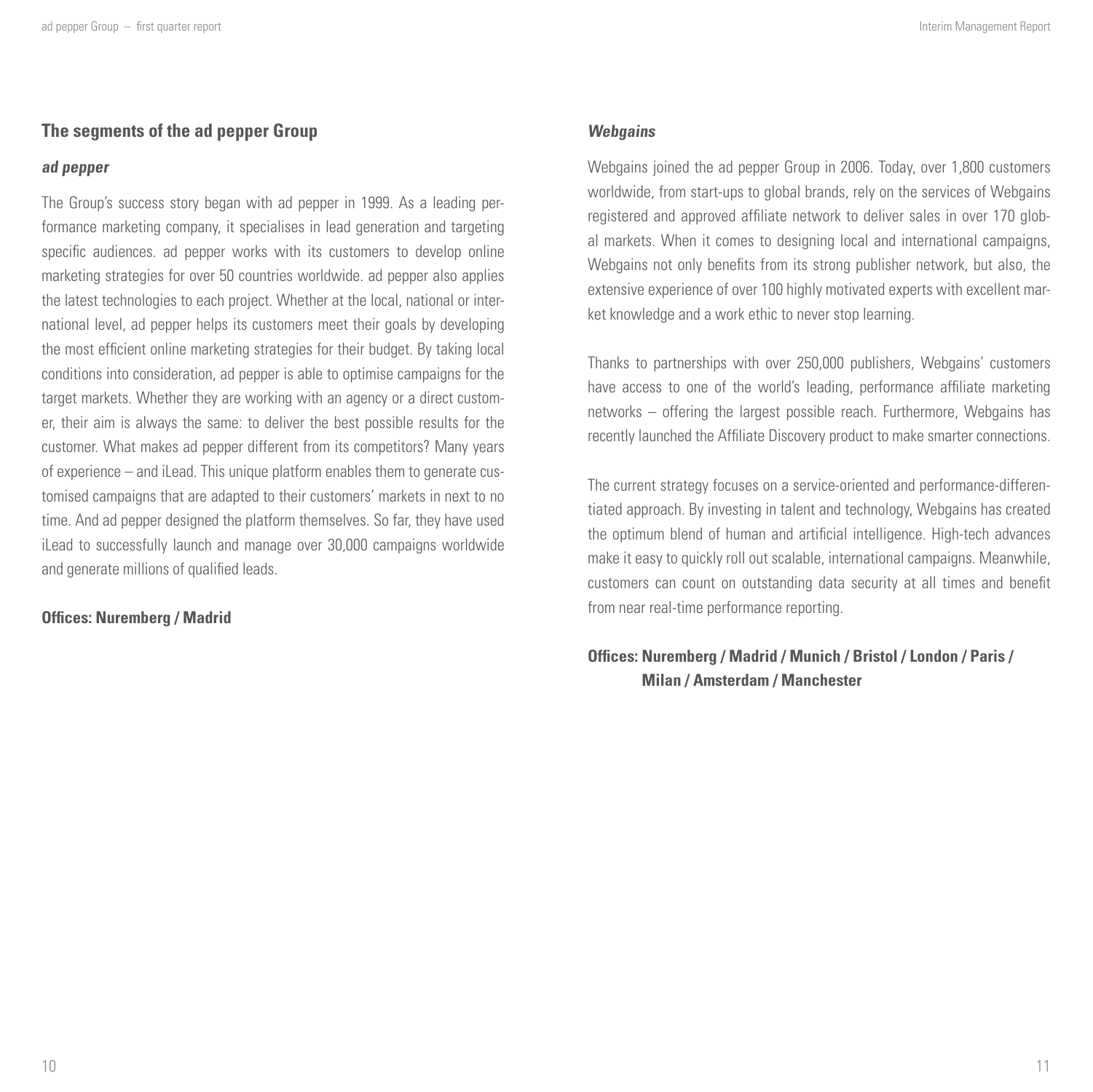## **The segments of the ad pepper Group**

#### **ad pepper**

The Group's success story began with ad pepper in 1999. As a leading performance marketing company, it specialises in lead generation and targeting specific audiences. ad pepper works with its customers to develop online marketing strategies for over 50 countries worldwide. ad pepper also applies the latest technologies to each project. Whether at the local, national or international level, ad pepper helps its customers meet their goals by developing the most efficient online marketing strategies for their budget. By taking local conditions into consideration, ad pepper is able to optimise campaigns for the target markets. Whether they are working with an agency or a direct customer, their aim is always the same: to deliver the best possible results for the customer. What makes ad pepper different from its competitors? Many years of experience – and iLead. This unique platform enables them to generate customised campaigns that are adapted to their customers' markets in next to no time. And ad pepper designed the platform themselves. So far, they have used iLead to successfully launch and manage over 30,000 campaigns worldwide and generate millions of qualified leads.

#### **Offices: Nuremberg / Madrid**

#### **Webgains**

Webgains joined the ad pepper Group in 2006. Today, over 1,800 customers worldwide, from start-ups to global brands, rely on the services of Webgains registered and approved affiliate network to deliver sales in over 170 global markets. When it comes to designing local and international campaigns, Webgains not only benefits from its strong publisher network, but also, the extensive experience of over 100 highly motivated experts with excellent market knowledge and a work ethic to never stop learning.

Thanks to partnerships with over 250,000 publishers, Webgains' customers have access to one of the world's leading, performance affiliate marketing networks – offering the largest possible reach. Furthermore, Webgains has recently launched the Affiliate Discovery product to make smarter connections.

The current strategy focuses on a service-oriented and performance-differentiated approach. By investing in talent and technology, Webgains has created the optimum blend of human and artificial intelligence. High-tech advances make it easy to quickly roll out scalable, international campaigns. Meanwhile, customers can count on outstanding data security at all times and benefit from near real-time performance reporting.

## **Offices: Nuremberg / Madrid / Munich / Bristol / London / Paris / Milan / Amsterdam / Manchester**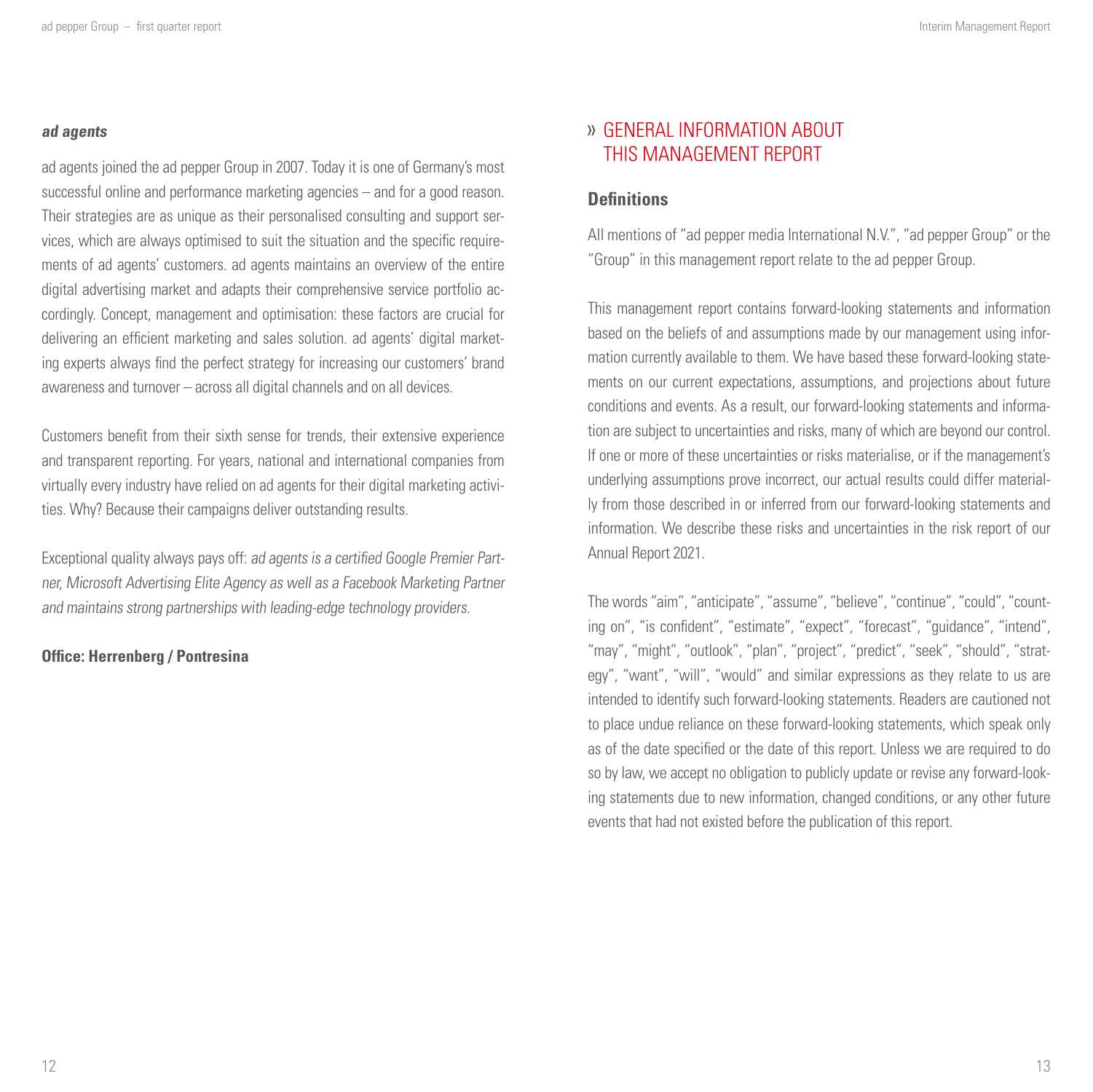#### <span id="page-6-0"></span>**ad agents**

ad agents joined the ad pepper Group in 2007. Today it is one of Germany's most successful online and performance marketing agencies – and for a good reason. Their strategies are as unique as their personalised consulting and support services, which are always optimised to suit the situation and the specific requirements of ad agents' customers. ad agents maintains an overview of the entire digital advertising market and adapts their comprehensive service portfolio accordingly. Concept, management and optimisation: these factors are crucial for delivering an efficient marketing and sales solution. ad agents' digital marketing experts always find the perfect strategy for increasing our customers' brand awareness and turnover – across all digital channels and on all devices.

Customers benefit from their sixth sense for trends, their extensive experience and transparent reporting. For years, national and international companies from virtually every industry have relied on ad agents for their digital marketing activities. Why? Because their campaigns deliver outstanding results.

Exceptional quality always pays off: ad agents is a certified Google Premier Partner, Microsoft Advertising Elite Agency as well as a Facebook Marketing Partner and maintains strong partnerships with leading-edge technology providers.

#### **Office: Herrenberg / Pontresina**

## GENERAL INFORMATION ABOUT THIS MANAGEMENT REPORT

### **Definitions**

All mentions of "ad pepper media International N.V.", "ad pepper Group" or the "Group" in this management report relate to the ad pepper Group.

This management report contains forward-looking statements and information based on the beliefs of and assumptions made by our management using information currently available to them. We have based these forward-looking statements on our current expectations, assumptions, and projections about future conditions and events. As a result, our forward-looking statements and information are subject to uncertainties and risks, many of which are beyond our control. If one or more of these uncertainties or risks materialise, or if the management's underlying assumptions prove incorrect, our actual results could differ materially from those described in or inferred from our forward-looking statements and information. We describe these risks and uncertainties in the risk report of our Annual Report 2021.

The words "aim", "anticipate", "assume", "believe", "continue", "could", "counting on", "is confident", "estimate", "expect", "forecast", "guidance", "intend", "may", "might", "outlook", "plan", "project", "predict", "seek", "should", "strategy", "want", "will", "would" and similar expressions as they relate to us are intended to identify such forward-looking statements. Readers are cautioned not to place undue reliance on these forward-looking statements, which speak only as of the date specified or the date of this report. Unless we are required to do so by law, we accept no obligation to publicly update or revise any forward-looking statements due to new information, changed conditions, or any other future events that had not existed before the publication of this report.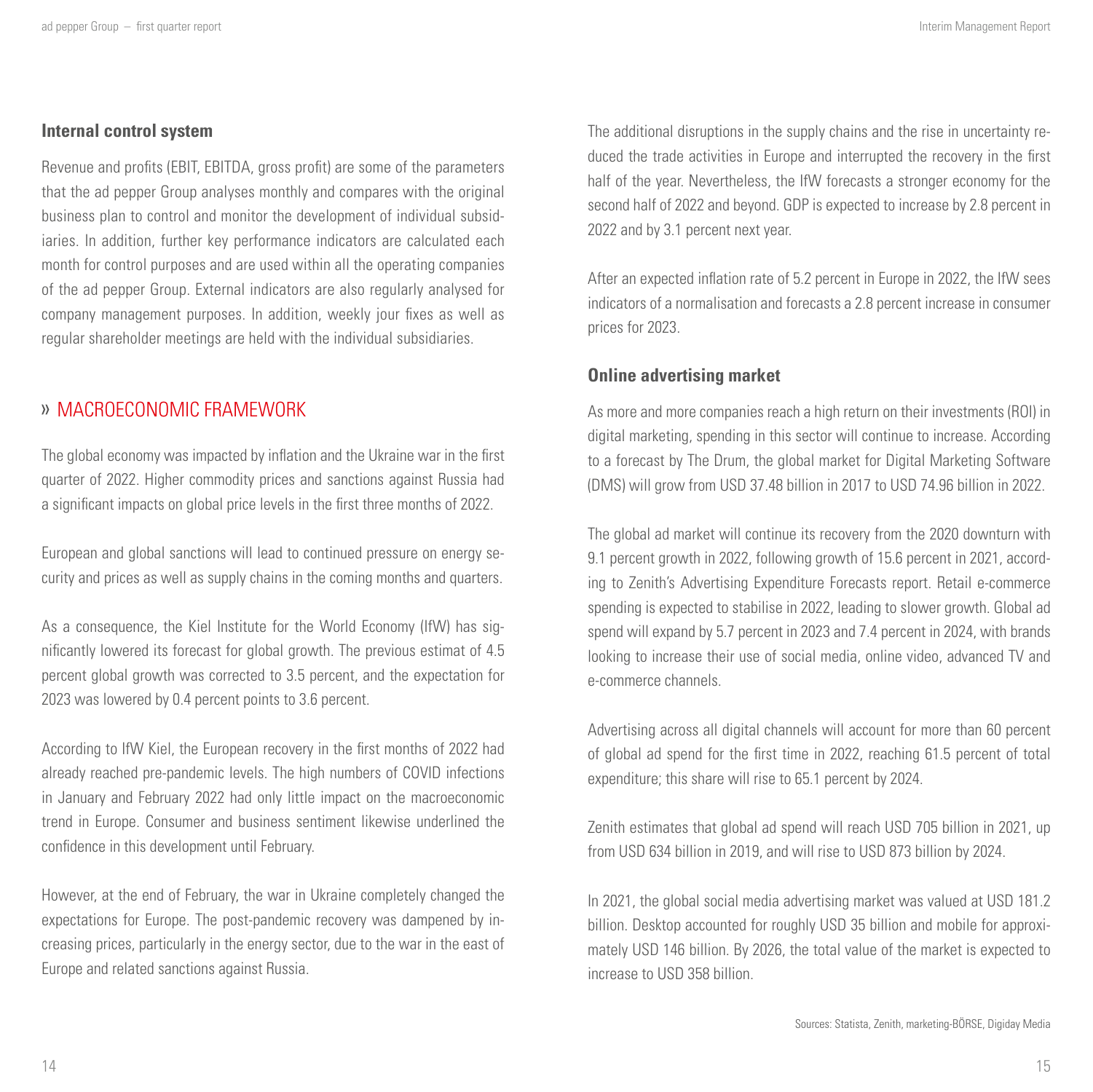#### <span id="page-7-0"></span>**Internal control system**

Revenue and profits (EBIT, EBITDA, gross profit) are some of the parameters that the ad pepper Group analyses monthly and compares with the original business plan to control and monitor the development of individual subsidiaries. In addition, further key performance indicators are calculated each month for control purposes and are used within all the operating companies of the ad pepper Group. External indicators are also regularly analysed for company management purposes. In addition, weekly jour fixes as well as regular shareholder meetings are held with the individual subsidiaries.

## MACROECONOMIC FRAMEWORK

The global economy was impacted by inflation and the Ukraine war in the first quarter of 2022. Higher commodity prices and sanctions against Russia had a significant impacts on global price levels in the first three months of 2022.

European and global sanctions will lead to continued pressure on energy security and prices as well as supply chains in the coming months and quarters.

As a consequence, the Kiel Institute for the World Economy (IfW) has significantly lowered its forecast for global growth. The previous estimat of 4.5 percent global growth was corrected to 3.5 percent, and the expectation for 2023 was lowered by 0.4 percent points to 3.6 percent.

According to IfW Kiel, the European recovery in the first months of 2022 had already reached pre-pandemic levels. The high numbers of COVID infections in January and February 2022 had only little impact on the macroeconomic trend in Europe. Consumer and business sentiment likewise underlined the confidence in this development until February.

However, at the end of February, the war in Ukraine completely changed the expectations for Europe. The post-pandemic recovery was dampened by increasing prices, particularly in the energy sector, due to the war in the east of Europe and related sanctions against Russia.

The additional disruptions in the supply chains and the rise in uncertainty reduced the trade activities in Europe and interrupted the recovery in the first half of the year. Nevertheless, the IfW forecasts a stronger economy for the second half of 2022 and beyond. GDP is expected to increase by 2.8 percent in 2022 and by 3.1 percent next year.

After an expected inflation rate of 5.2 percent in Europe in 2022, the IfW sees indicators of a normalisation and forecasts a 2.8 percent increase in consumer prices for 2023.

#### **Online advertising market**

As more and more companies reach a high return on their investments (ROI) in digital marketing, spending in this sector will continue to increase. According to a forecast by The Drum, the global market for Digital Marketing Software (DMS) will grow from USD 37.48 billion in 2017 to USD 74.96 billion in 2022.

The global ad market will continue its recovery from the 2020 downturn with 9.1 percent growth in 2022, following growth of 15.6 percent in 2021, according to Zenith's Advertising Expenditure Forecasts report. Retail e-commerce spending is expected to stabilise in 2022, leading to slower growth. Global ad spend will expand by 5.7 percent in 2023 and 7.4 percent in 2024, with brands looking to increase their use of social media, online video, advanced TV and e-commerce channels.

Advertising across all digital channels will account for more than 60 percent of global ad spend for the first time in 2022, reaching 61.5 percent of total expenditure; this share will rise to 65.1 percent by 2024.

Zenith estimates that global ad spend will reach USD 705 billion in 2021, up from USD 634 billion in 2019, and will rise to USD 873 billion by 2024.

In 2021, the global social media advertising market was valued at USD 181.2 billion. Desktop accounted for roughly USD 35 billion and mobile for approximately USD 146 billion. By 2026, the total value of the market is expected to increase to USD 358 billion.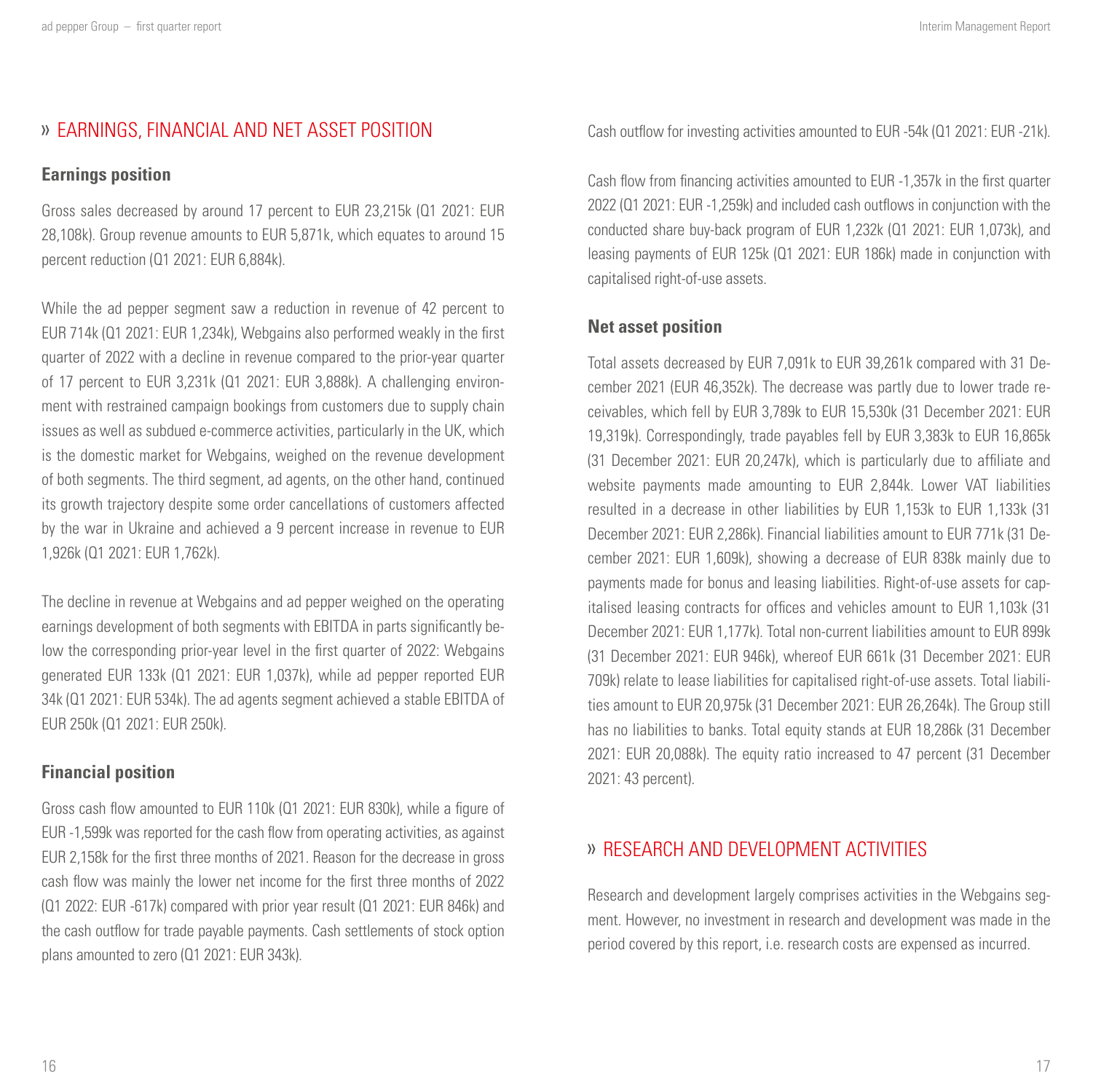## <span id="page-8-0"></span>EARNINGS, FINANCIAL AND NET ASSET POSITION

#### **Earnings position**

Gross sales decreased by around 17 percent to EUR 23,215k (Q1 2021: EUR 28,108k). Group revenue amounts to EUR 5,871k, which equates to around 15 percent reduction (Q1 2021: EUR 6,884k).

While the ad pepper segment saw a reduction in revenue of 42 percent to EUR 714k (Q1 2021: EUR 1,234k), Webgains also performed weakly in the first quarter of 2022 with a decline in revenue compared to the prior-year quarter of 17 percent to EUR 3,231k (Q1 2021: EUR 3,888k). A challenging environment with restrained campaign bookings from customers due to supply chain issues as well as subdued e-commerce activities, particularly in the UK, which is the domestic market for Webgains, weighed on the revenue development of both segments. The third segment, ad agents, on the other hand, continued its growth trajectory despite some order cancellations of customers affected by the war in Ukraine and achieved a 9 percent increase in revenue to EUR 1,926k (Q1 2021: EUR 1,762k).

The decline in revenue at Webgains and ad pepper weighed on the operating earnings development of both segments with EBITDA in parts significantly below the corresponding prior-year level in the first quarter of 2022: Webgains generated EUR 133k (Q1 2021: EUR 1,037k), while ad pepper reported EUR 34k (Q1 2021: EUR 534k). The ad agents segment achieved a stable EBITDA of EUR 250k (Q1 2021: EUR 250k).

#### **Financial position**

Gross cash flow amounted to EUR 110k (Q1 2021: EUR 830k), while a figure of EUR -1,599k was reported for the cash flow from operating activities, as against EUR 2,158k for the first three months of 2021. Reason for the decrease in gross cash flow was mainly the lower net income for the first three months of 2022 (Q1 2022: EUR -617k) compared with prior year result (Q1 2021: EUR 846k) and the cash outflow for trade payable payments. Cash settlements of stock option plans amounted to zero (Q1 2021: EUR 343k).

Cash outflow for investing activities amounted to EUR -54k (Q1 2021: EUR -21k).

Cash flow from financing activities amounted to EUR -1,357k in the first quarter 2022 (Q1 2021: EUR -1,259k) and included cash outflows in conjunction with the conducted share buy-back program of EUR 1,232k (Q1 2021: EUR 1,073k), and leasing payments of EUR 125k (Q1 2021: EUR 186k) made in conjunction with capitalised right-of-use assets.

#### **Net asset position**

Total assets decreased by EUR 7,091k to EUR 39,261k compared with 31 December 2021 (EUR 46,352k). The decrease was partly due to lower trade receivables, which fell by EUR 3,789k to EUR 15,530k (31 December 2021: EUR 19,319k). Correspondingly, trade payables fell by EUR 3,383k to EUR 16,865k (31 December 2021: EUR 20,247k), which is particularly due to affiliate and website payments made amounting to EUR 2,844k. Lower VAT liabilities resulted in a decrease in other liabilities by EUR 1,153k to EUR 1,133k (31 December 2021: EUR 2,286k). Financial liabilities amount to EUR 771k (31 December 2021: EUR 1,609k), showing a decrease of EUR 838k mainly due to payments made for bonus and leasing liabilities. Right-of-use assets for capitalised leasing contracts for offices and vehicles amount to EUR 1,103k (31 December 2021: EUR 1,177k). Total non-current liabilities amount to EUR 899k (31 December 2021: EUR 946k), whereof EUR 661k (31 December 2021: EUR 709k) relate to lease liabilities for capitalised right-of-use assets. Total liabilities amount to EUR 20,975k (31 December 2021: EUR 26,264k). The Group still has no liabilities to banks. Total equity stands at EUR 18,286k (31 December 2021: EUR 20,088k). The equity ratio increased to 47 percent (31 December 2021: 43 percent).

## RESEARCH AND DEVELOPMENT ACTIVITIES

Research and development largely comprises activities in the Webgains segment. However, no investment in research and development was made in the period covered by this report, i.e. research costs are expensed as incurred.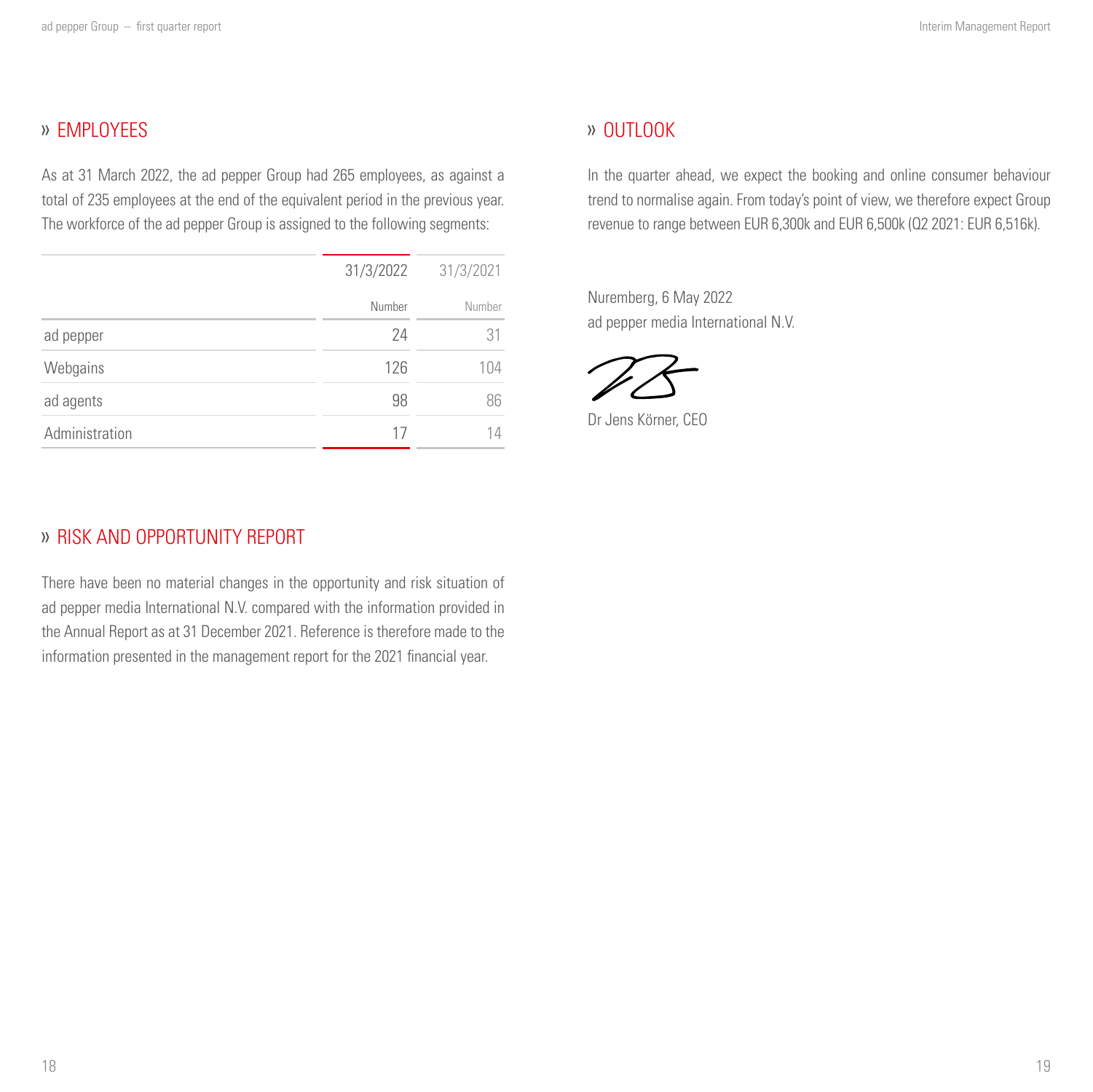# <span id="page-9-0"></span>» **FMPLOYEES**

As at 31 March 2022, the ad pepper Group had 265 employees, as against a total of 235 employees at the end of the equivalent period in the previous year. The workforce of the ad pepper Group is assigned to the following segments:

|                | 31/3/2022 | 31/3/2021 |
|----------------|-----------|-----------|
|                | Number    | Number    |
| ad pepper      | 24        | 31        |
| Webgains       | 126       | 104       |
| ad agents      | 98        | 86        |
| Administration | 17        |           |

## » OUTLOOK

In the quarter ahead, we expect the booking and online consumer behaviour trend to normalise again. From today's point of view, we therefore expect Group revenue to range between EUR 6,300k and EUR 6,500k (Q2 2021: EUR 6,516k).

Nuremberg, 6 May 2022 ad pepper media International N.V.

Dr Jens Körner, CEO

## RISK AND OPPORTUNITY REPORT

There have been no material changes in the opportunity and risk situation of ad pepper media International N.V. compared with the information provided in the Annual Report as at 31 December 2021. Reference is therefore made to the information presented in the management report for the 2021 financial year.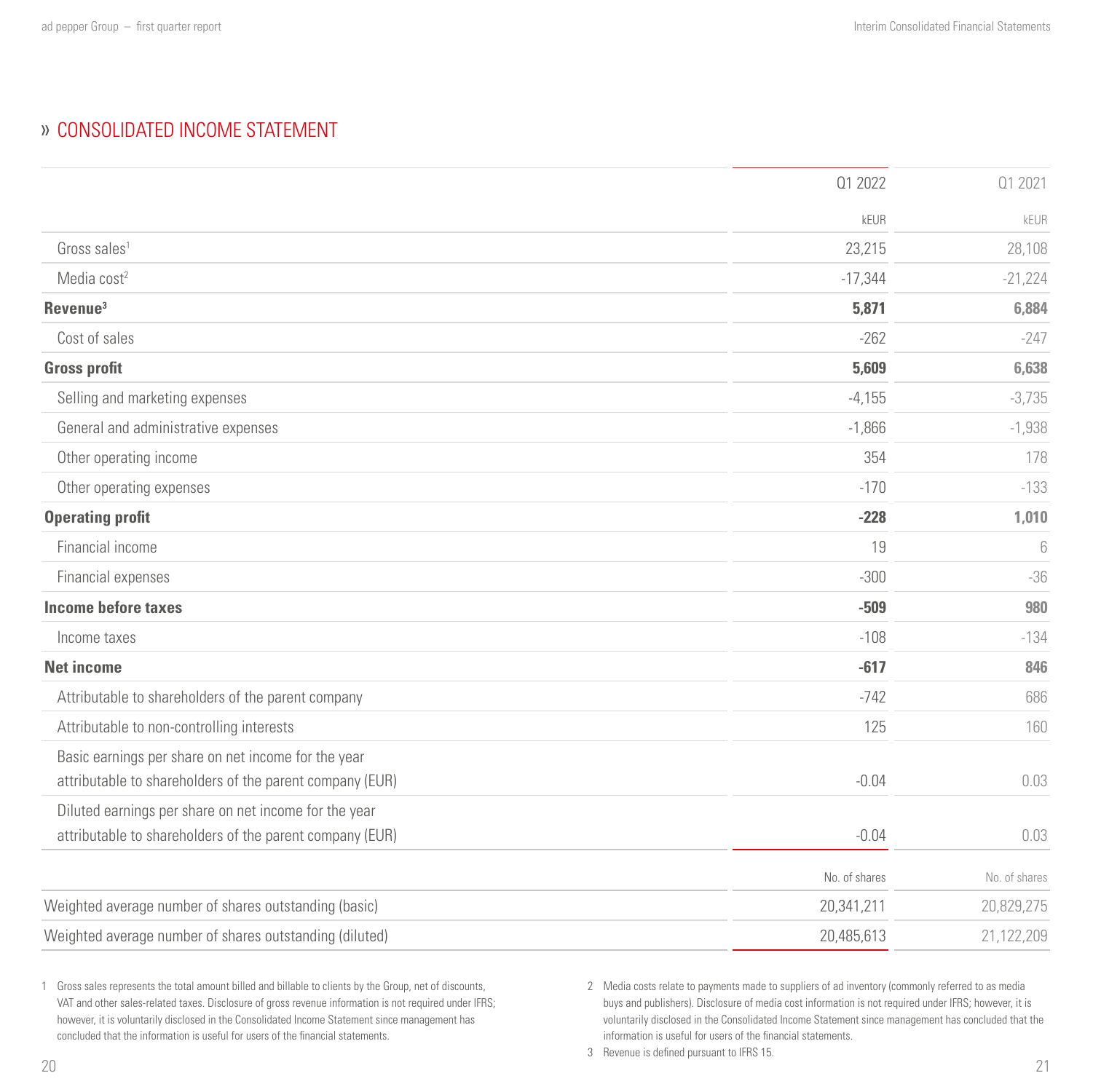# <span id="page-10-0"></span>CONSOLIDATED INCOME STATEMENT

|                                                                                                                 | Q1 2022       | 01 2021       |
|-----------------------------------------------------------------------------------------------------------------|---------------|---------------|
|                                                                                                                 | kEUR          | kEUR          |
| Gross sales <sup>1</sup>                                                                                        | 23,215        | 28,108        |
| Media cost <sup>2</sup>                                                                                         | $-17,344$     | $-21,224$     |
| Revenue <sup>3</sup>                                                                                            | 5,871         | 6,884         |
| Cost of sales                                                                                                   | $-262$        | $-247$        |
| <b>Gross profit</b>                                                                                             | 5,609         | 6,638         |
| Selling and marketing expenses                                                                                  | $-4,155$      | $-3,735$      |
| General and administrative expenses                                                                             | $-1,866$      | $-1,938$      |
| Other operating income                                                                                          | 354           | 178           |
| Other operating expenses                                                                                        | $-170$        | $-133$        |
| <b>Operating profit</b>                                                                                         | $-228$        | 1,010         |
| Financial income                                                                                                | 19            | 6             |
| Financial expenses                                                                                              | $-300$        | $-36$         |
| <b>Income before taxes</b>                                                                                      | $-509$        | 980           |
| Income taxes                                                                                                    | $-108$        | $-134$        |
| <b>Net income</b>                                                                                               | $-617$        | 846           |
| Attributable to shareholders of the parent company                                                              | $-742$        | 686           |
| Attributable to non-controlling interests                                                                       | 125           | 160           |
| Basic earnings per share on net income for the year<br>attributable to shareholders of the parent company (EUR) | $-0.04$       | 0.03          |
| Diluted earnings per share on net income for the year                                                           |               |               |
| attributable to shareholders of the parent company (EUR)                                                        | $-0.04$       | 0.03          |
|                                                                                                                 | No. of shares | No. of shares |
| Weighted average number of shares outstanding (basic)                                                           | 20,341,211    | 20,829,275    |
| Weighted average number of shares outstanding (diluted)                                                         | 20,485,613    | 21,122,209    |

1 Gross sales represents the total amount billed and billable to clients by the Group, net of discounts, VAT and other sales-related taxes. Disclosure of gross revenue information is not required under IFRS; however, it is voluntarily disclosed in the Consolidated Income Statement since management has concluded that the information is useful for users of the financial statements.

2 Media costs relate to payments made to suppliers of ad inventory (commonly referred to as media buys and publishers). Disclosure of media cost information is not required under IFRS; however, it is voluntarily disclosed in the Consolidated Income Statement since management has concluded that the information is useful for users of the financial statements.

3 Revenue is defined pursuant to IFRS 15.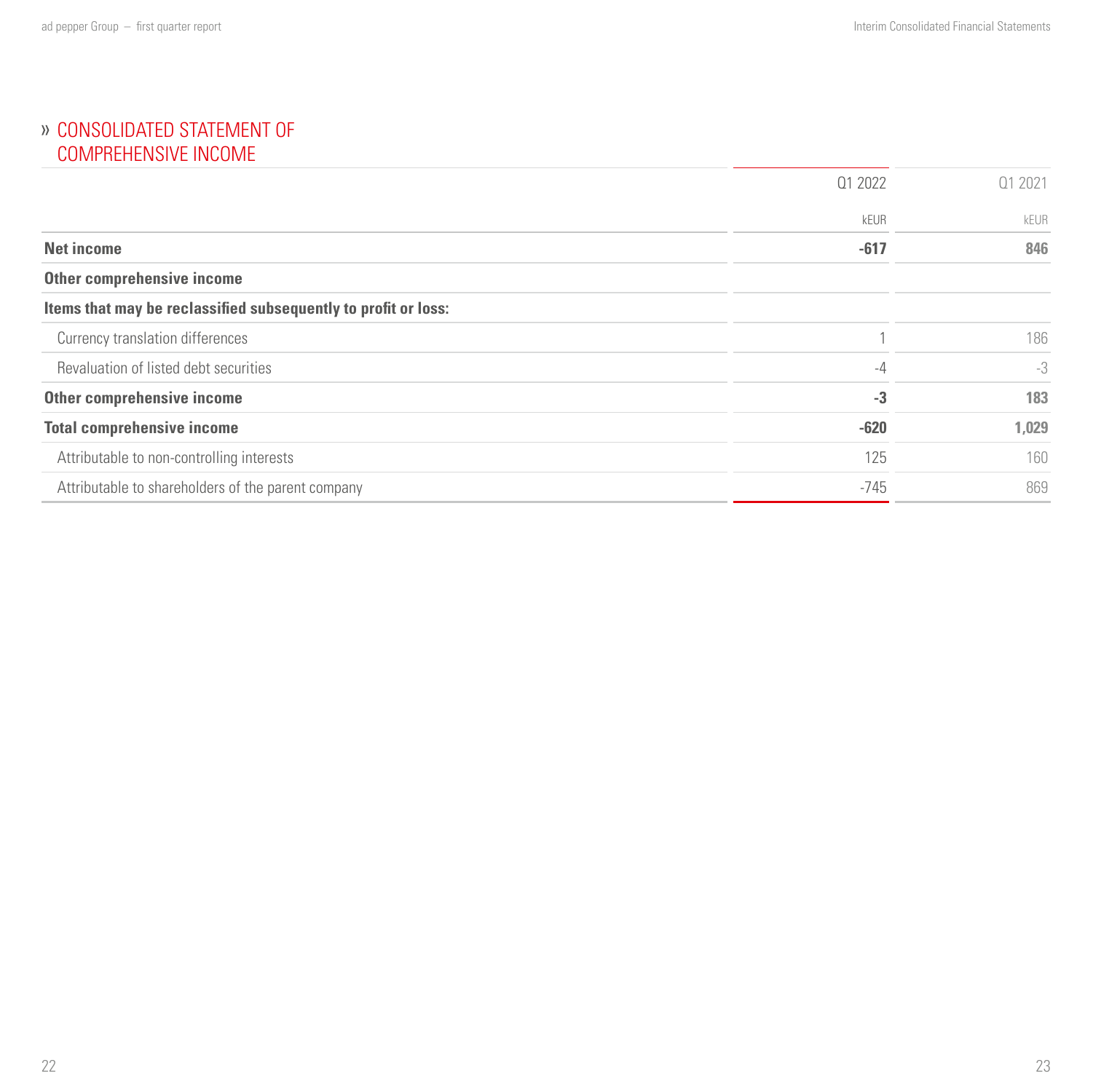## <span id="page-11-0"></span>» CONSOLIDATED STATEMENT OF COMPREHENSIVE INCOME

|                                                                | 01 2022 | 01 2021 |
|----------------------------------------------------------------|---------|---------|
|                                                                | kEUR    | kEUR    |
| <b>Net income</b>                                              | $-617$  | 846     |
| Other comprehensive income                                     |         |         |
| Items that may be reclassified subsequently to profit or loss: |         |         |
| Currency translation differences                               |         | 186     |
| Revaluation of listed debt securities                          | $-4$    | $-3$    |
| Other comprehensive income                                     | $-3$    | 183     |
| <b>Total comprehensive income</b>                              | $-620$  | 1,029   |
| Attributable to non-controlling interests                      | 125     | 160     |
| Attributable to shareholders of the parent company             | $-745$  | 869     |
|                                                                |         |         |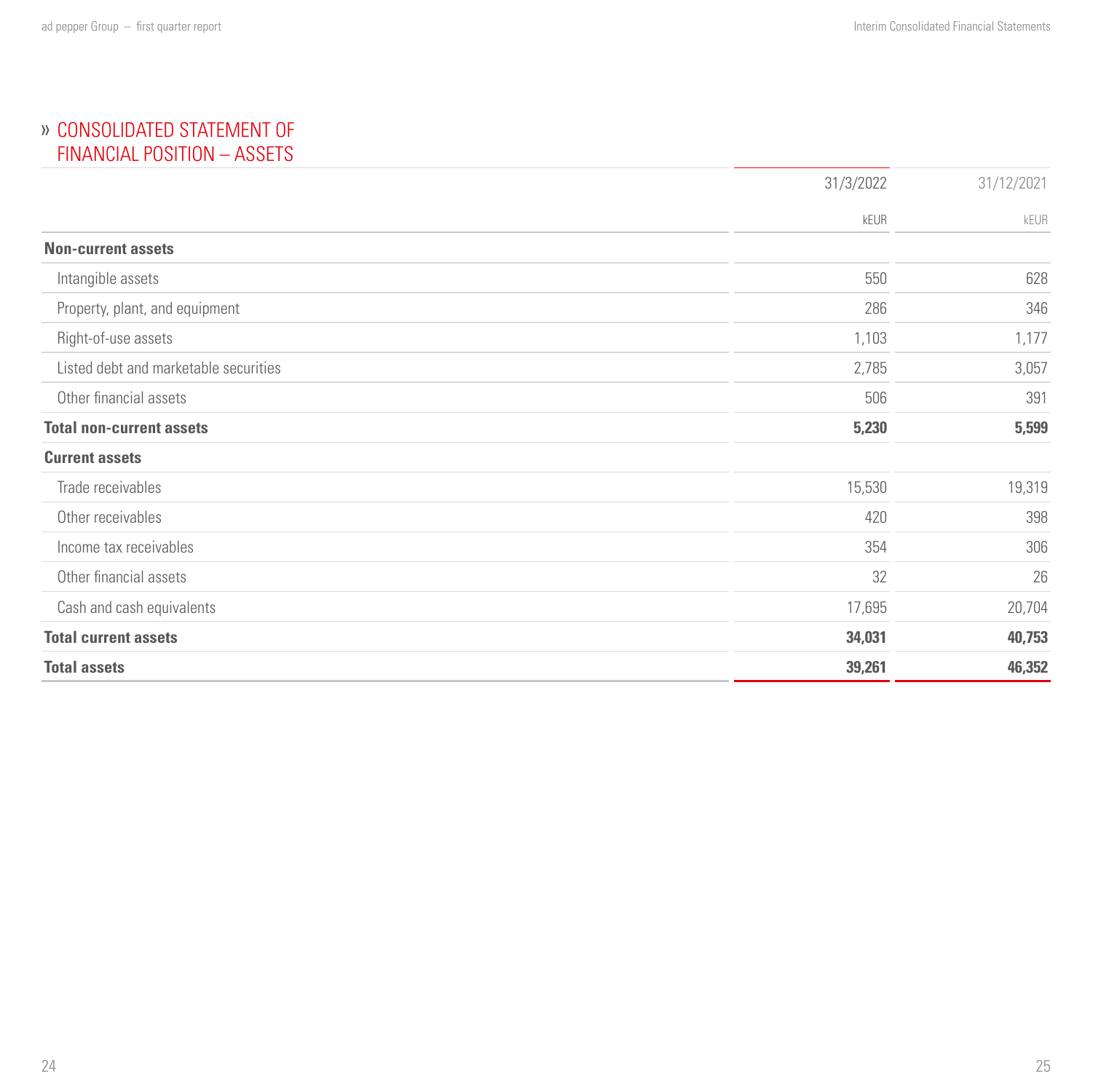## <span id="page-12-0"></span> CONSOLIDATED STATEMENT OF FINANCIAL POSITION – ASSETS

|                                       | 31/3/2022 | 31/12/2021 |
|---------------------------------------|-----------|------------|
|                                       | kEUR      | kEUR       |
| <b>Non-current assets</b>             |           |            |
| Intangible assets                     | 550       | 628        |
| Property, plant, and equipment        | 286       | 346        |
| Right-of-use assets                   | 1,103     | 1,177      |
| Listed debt and marketable securities | 2,785     | 3,057      |
| Other financial assets                | 506       | 391        |
| <b>Total non-current assets</b>       | 5,230     | 5,599      |
| <b>Current assets</b>                 |           |            |
| Trade receivables                     | 15,530    | 19,319     |
| Other receivables                     | 420       | 398        |
| Income tax receivables                | 354       | 306        |
| Other financial assets                | 32        | 26         |
| Cash and cash equivalents             | 17,695    | 20,704     |
| <b>Total current assets</b>           | 34,031    | 40,753     |
| <b>Total assets</b>                   | 39,261    | 46,352     |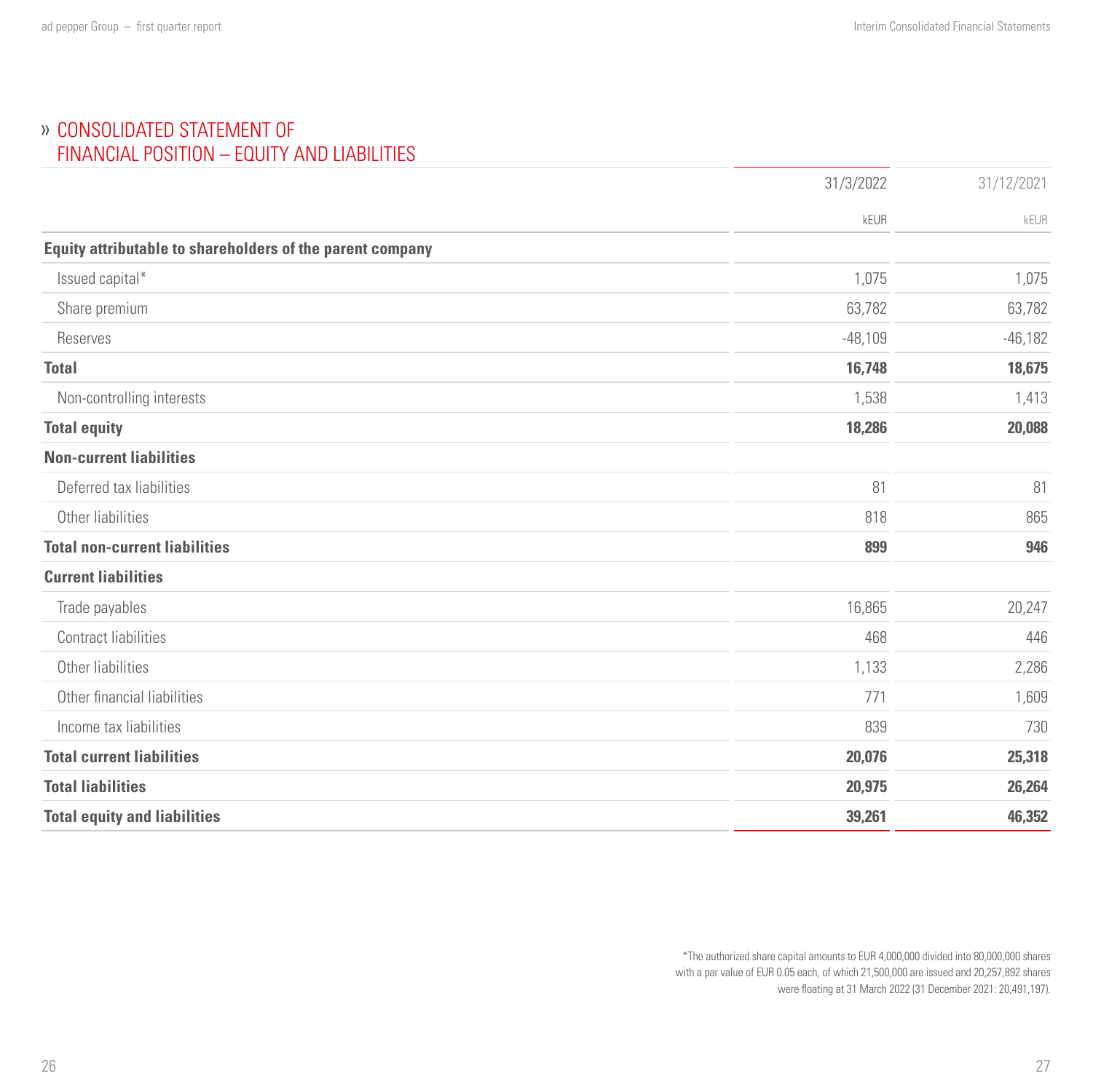## CONSOLIDATED STATEMENT OF FINANCIAL POSITION – EQUITY AND LIABILITIES

|                                                           | 31/3/2022 | 31/12/2021 |
|-----------------------------------------------------------|-----------|------------|
|                                                           | kEUR      | kEUR       |
| Equity attributable to shareholders of the parent company |           |            |
| Issued capital*                                           | 1,075     | 1,075      |
| Share premium                                             | 63,782    | 63,782     |
| Reserves                                                  | $-48,109$ | $-46,182$  |
| <b>Total</b>                                              | 16,748    | 18,675     |
| Non-controlling interests                                 | 1,538     | 1,413      |
| <b>Total equity</b>                                       | 18,286    | 20,088     |
| <b>Non-current liabilities</b>                            |           |            |
| Deferred tax liabilities                                  | 81        | 81         |
| Other liabilities                                         | 818       | 865        |
| <b>Total non-current liabilities</b>                      | 899       | 946        |
| <b>Current liabilities</b>                                |           |            |
| Trade payables                                            | 16,865    | 20,247     |
| Contract liabilities                                      | 468       | 446        |
| Other liabilities                                         | 1,133     | 2,286      |
| Other financial liabilities                               | 771       | 1,609      |
| Income tax liabilities                                    | 839       | 730        |
| <b>Total current liabilities</b>                          | 20,076    | 25,318     |
| <b>Total liabilities</b>                                  | 20,975    | 26,264     |
| <b>Total equity and liabilities</b>                       | 39,261    | 46,352     |

\*The authorized share capital amounts to EUR 4,000,000 divided into 80,000,000 shares with a par value of EUR 0.05 each, of which 21,500,000 are issued and 20,257,892 shares were floating at 31 March 2022 (31 December 2021: 20,491,197).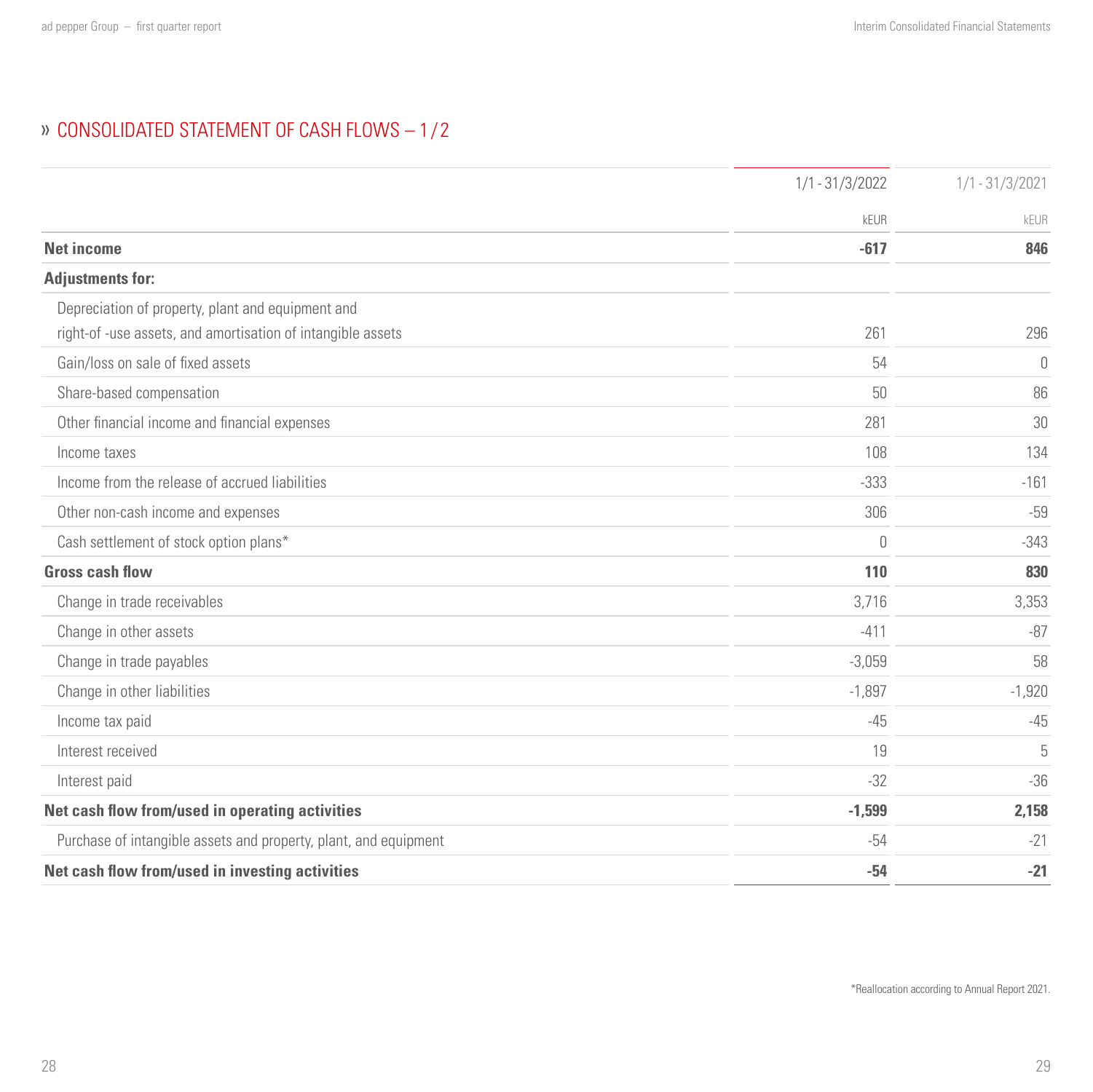# <span id="page-14-0"></span>CONSOLIDATED STATEMENT OF CASH FLOWS – 1 / 2

|                                                                  | $1/1 - 31/3/2022$ | $1/1 - 31/3/2021$ |
|------------------------------------------------------------------|-------------------|-------------------|
|                                                                  | <b>kEUR</b>       | kEUR              |
| <b>Net income</b>                                                | $-617$            | 846               |
| <b>Adjustments for:</b>                                          |                   |                   |
| Depreciation of property, plant and equipment and                |                   |                   |
| right-of-use assets, and amortisation of intangible assets       | 261               | 296               |
| Gain/loss on sale of fixed assets                                | 54                | $\theta$          |
| Share-based compensation                                         | 50                | 86                |
| Other financial income and financial expenses                    | 281               | 30                |
| Income taxes                                                     | 108               | 134               |
| Income from the release of accrued liabilities                   | $-333$            | $-161$            |
| Other non-cash income and expenses                               | 306               | $-59$             |
| Cash settlement of stock option plans*                           | $\theta$          | $-343$            |
| <b>Gross cash flow</b>                                           | 110               | 830               |
| Change in trade receivables                                      | 3,716             | 3,353             |
| Change in other assets                                           | $-411$            | $-87$             |
| Change in trade payables                                         | $-3,059$          | 58                |
| Change in other liabilities                                      | $-1.897$          | $-1,920$          |
| Income tax paid                                                  | $-45$             | $-45$             |
| Interest received                                                | 19                | 5                 |
| Interest paid                                                    | $-32$             | $-36$             |
| Net cash flow from/used in operating activities                  | $-1,599$          | 2,158             |
| Purchase of intangible assets and property, plant, and equipment | -54               | $-21$             |
| Net cash flow from/used in investing activities                  | $-54$             | $-21$             |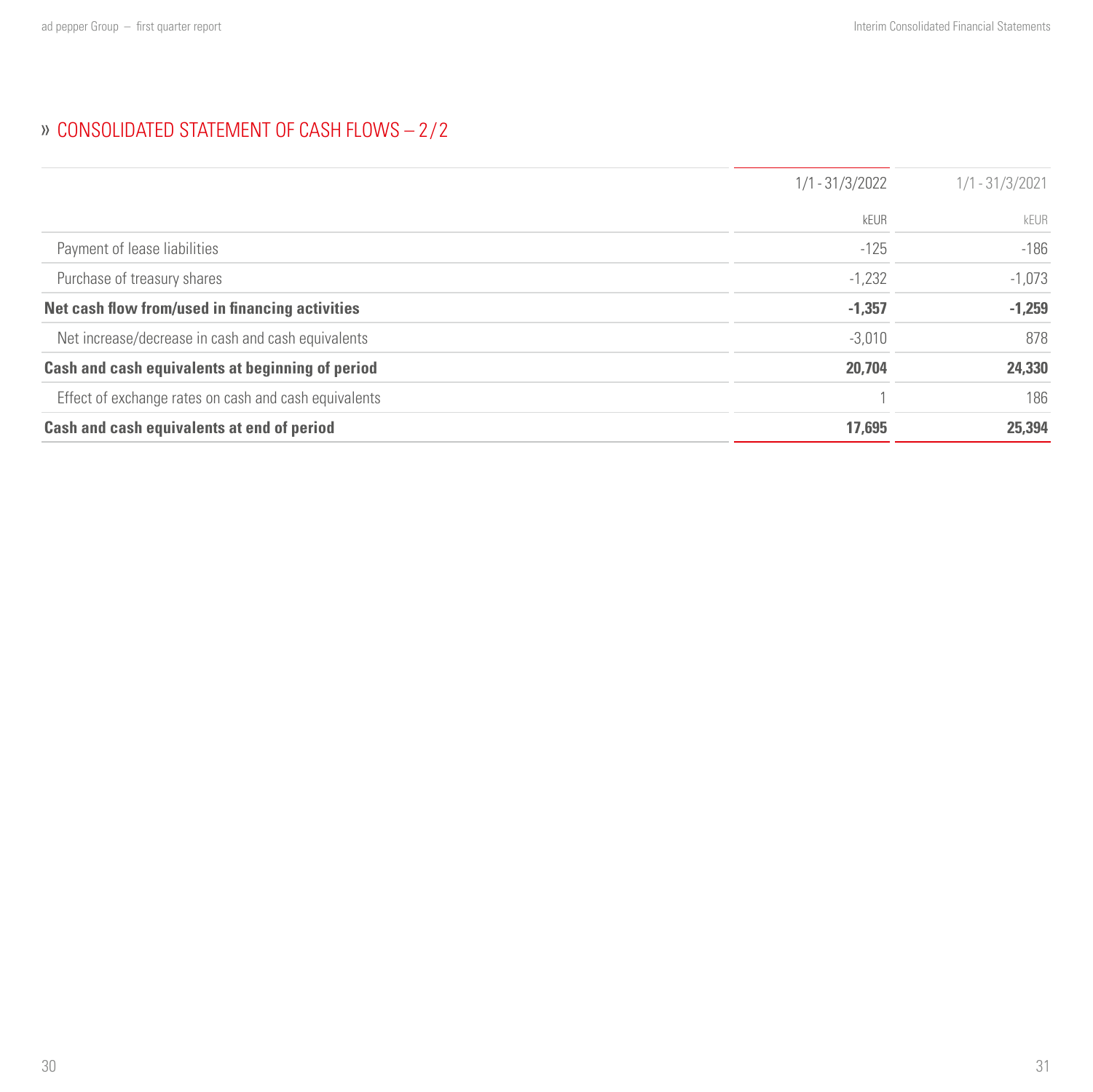# » CONSOLIDATED STATEMENT OF CASH FLOWS - 2/2

|                                                       | $1/1 - 31/3/2022$ | $1/1 - 31/3/2021$ |  |
|-------------------------------------------------------|-------------------|-------------------|--|
|                                                       | kEUR              | kEUR              |  |
| Payment of lease liabilities                          | $-125$            | $-186$            |  |
| Purchase of treasury shares                           | $-1,232$          | $-1,073$          |  |
| Net cash flow from/used in financing activities       | $-1,357$          | $-1,259$          |  |
| Net increase/decrease in cash and cash equivalents    | $-3,010$          | 878               |  |
| Cash and cash equivalents at beginning of period      | 20,704            | 24,330            |  |
| Effect of exchange rates on cash and cash equivalents |                   | 186               |  |
| Cash and cash equivalents at end of period            | 17.695            | 25.394            |  |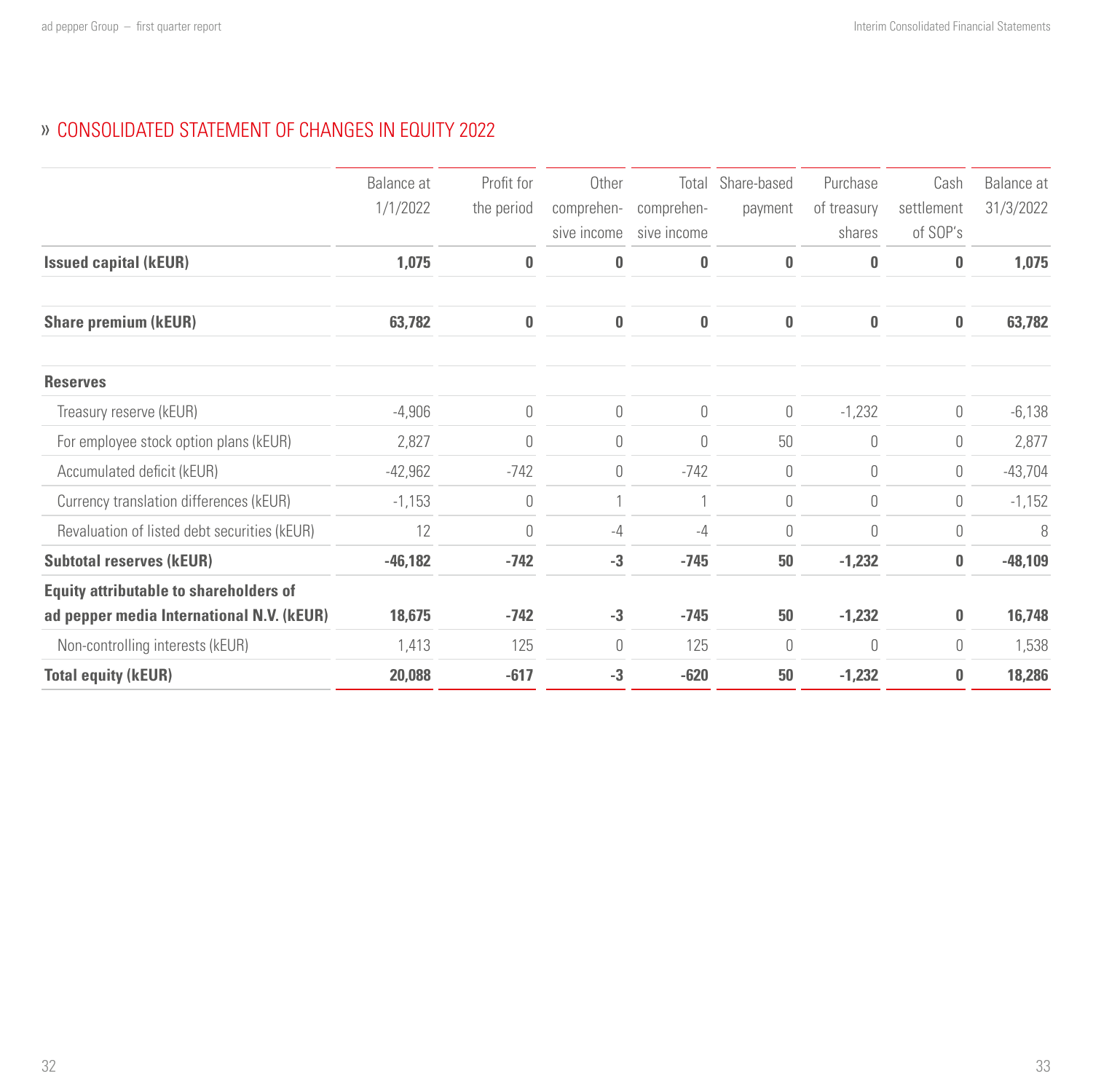## <span id="page-16-0"></span>CONSOLIDATED STATEMENT OF CHANGES IN EQUITY 2022

|                                               | Balance at | Profit for | Other       | Total       | Share-based | Purchase    | Cash       | Balance at |
|-----------------------------------------------|------------|------------|-------------|-------------|-------------|-------------|------------|------------|
|                                               |            |            |             |             |             |             |            |            |
|                                               | 1/1/2022   | the period | comprehen-  | comprehen-  | payment     | of treasury | settlement | 31/3/2022  |
|                                               |            |            | sive income | sive income |             | shares      | of SOP's   |            |
| <b>Issued capital (kEUR)</b>                  | 1,075      | $\bf{0}$   | 0           | 0           | 0           | 0           | $\bf{0}$   | 1,075      |
| <b>Share premium (kEUR)</b>                   | 63,782     | 0          | 0           | 0           | $\bf{0}$    | $\bf{0}$    | 0          | 63,782     |
| <b>Reserves</b>                               |            |            |             |             |             |             |            |            |
| Treasury reserve (kEUR)                       | $-4,906$   | $\theta$   | 0           | $\theta$    | $\theta$    | $-1,232$    | 0          | $-6,138$   |
| For employee stock option plans (kEUR)        | 2,827      | $\theta$   | 0           | $\theta$    | 50          | $\theta$    | 0          | 2,877      |
| Accumulated deficit (kEUR)                    | $-42,962$  | $-742$     | 0           | $-742$      | $\theta$    | $\theta$    | 0          | $-43,704$  |
| Currency translation differences (kEUR)       | $-1,153$   | $\theta$   |             |             | 0           | $\theta$    | 0          | $-1,152$   |
| Revaluation of listed debt securities (kEUR)  | 12         | $\theta$   | $-4$        | $-4$        | $\theta$    | $\theta$    | 0          | 8          |
| <b>Subtotal reserves (kEUR)</b>               | $-46,182$  | $-742$     | $-3$        | $-745$      | 50          | $-1,232$    | $\bf{0}$   | $-48,109$  |
| <b>Equity attributable to shareholders of</b> |            |            |             |             |             |             |            |            |
| ad pepper media International N.V. (kEUR)     | 18,675     | $-742$     | $-3$        | $-745$      | 50          | $-1,232$    | 0          | 16,748     |
| Non-controlling interests (kEUR)              | 1,413      | 125        | $\bigcap$   | 125         | $\theta$    | $\theta$    | 0          | 1,538      |
| <b>Total equity (kEUR)</b>                    | 20,088     | $-617$     | $-3$        | $-620$      | 50          | $-1,232$    | 0          | 18,286     |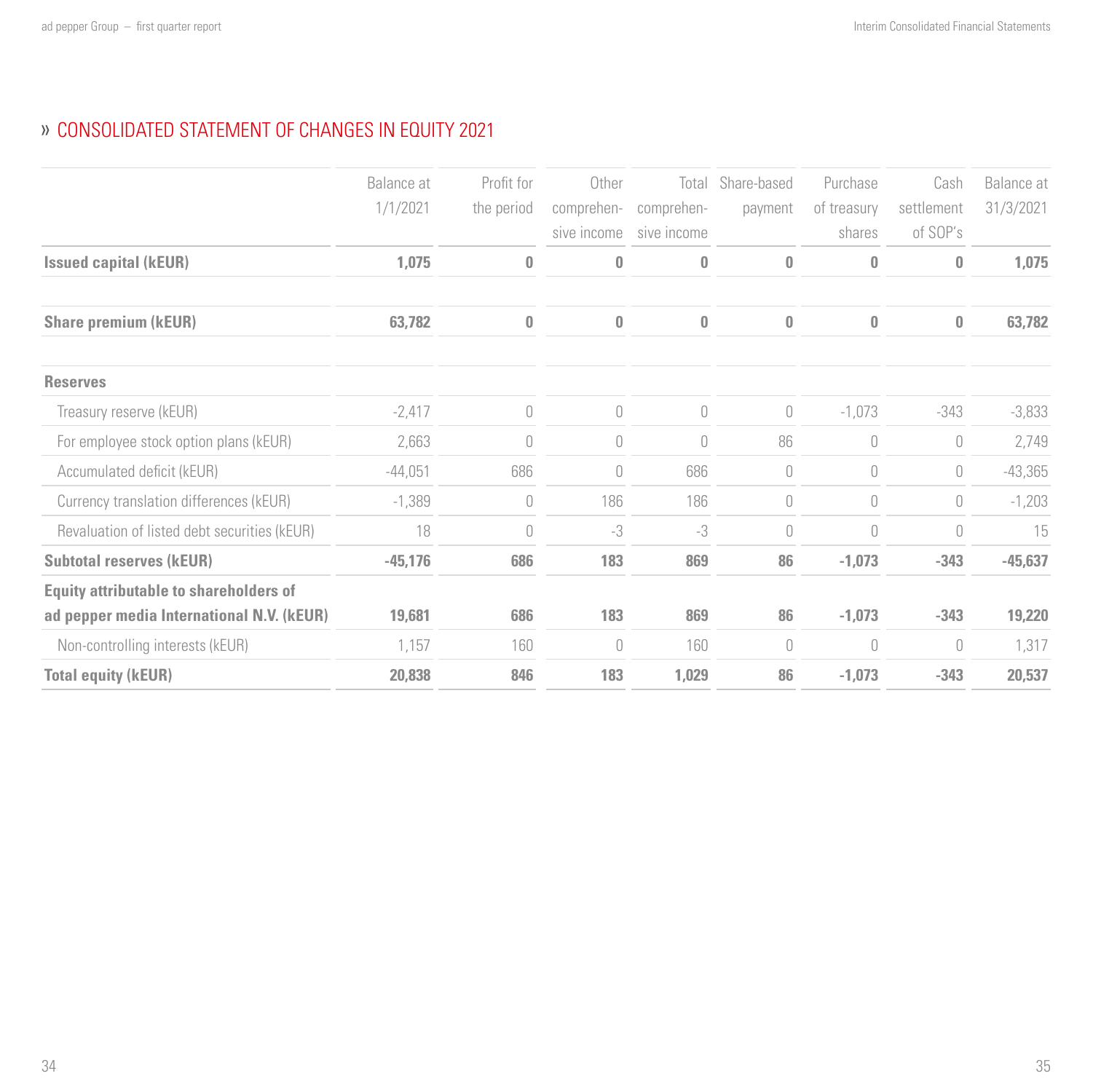# CONSOLIDATED STATEMENT OF CHANGES IN EQUITY 2021

|                                               | Balance at<br>1/1/2021 | Profit for<br>the period        | Other<br>comprehen-<br>sive income | Total<br>comprehen-<br>sive income | Share-based<br>payment               | Purchase<br>of treasury<br>shares | Cash<br>settlement<br>of SOP's | Balance at<br>31/3/2021 |
|-----------------------------------------------|------------------------|---------------------------------|------------------------------------|------------------------------------|--------------------------------------|-----------------------------------|--------------------------------|-------------------------|
| <b>Issued capital (kEUR)</b>                  | 1,075                  | $\bf{0}$                        | 0                                  | 0                                  | $\bf{0}$                             | $\bf{0}$                          | 0                              | 1,075                   |
| <b>Share premium (kEUR)</b>                   | 63,782                 | $\bf{0}$                        | 0                                  | 0                                  | $\bf{0}$                             | $\mathbf{0}$                      | 0                              | 63,782                  |
| <b>Reserves</b>                               |                        |                                 |                                    |                                    |                                      |                                   |                                |                         |
| Treasury reserve (kEUR)                       | $-2,417$               | $\theta$                        | $\bigcap$                          | $\overline{0}$                     | $\begin{matrix} 0 \\ 0 \end{matrix}$ | $-1,073$                          | $-343$                         | $-3,833$                |
| For employee stock option plans (kEUR)        | 2,663                  | $\begin{matrix} 0 \end{matrix}$ | 0                                  | $\overline{0}$                     | 86                                   | $\cup$                            | 0                              | 2,749                   |
| Accumulated deficit (kEUR)                    | $-44,051$              | 686                             | 0                                  | 686                                | $\theta$                             | $\mathbf{0}$                      | 0                              | $-43,365$               |
| Currency translation differences (kEUR)       | $-1,389$               | $\theta$                        | 186                                | 186                                | $\theta$                             | $\cup$                            | 0                              | $-1,203$                |
| Revaluation of listed debt securities (kEUR)  | 18                     | $\theta$                        | -3                                 | -3                                 | $\theta$                             | $\cup$                            | 0                              | 15                      |
| <b>Subtotal reserves (kEUR)</b>               | $-45,176$              | 686                             | 183                                | 869                                | 86                                   | $-1,073$                          | $-343$                         | $-45,637$               |
| <b>Equity attributable to shareholders of</b> |                        |                                 |                                    |                                    |                                      |                                   |                                |                         |
| ad pepper media International N.V. (kEUR)     | 19,681                 | 686                             | 183                                | 869                                | 86                                   | $-1,073$                          | $-343$                         | 19,220                  |
| Non-controlling interests (kEUR)              | 1,157                  | 160                             | $\bigcap$                          | 160                                | $\cup$                               | $\theta$                          | 0                              | 1,317                   |
| <b>Total equity (kEUR)</b>                    | 20,838                 | 846                             | 183                                | 1,029                              | 86                                   | $-1,073$                          | $-343$                         | 20,537                  |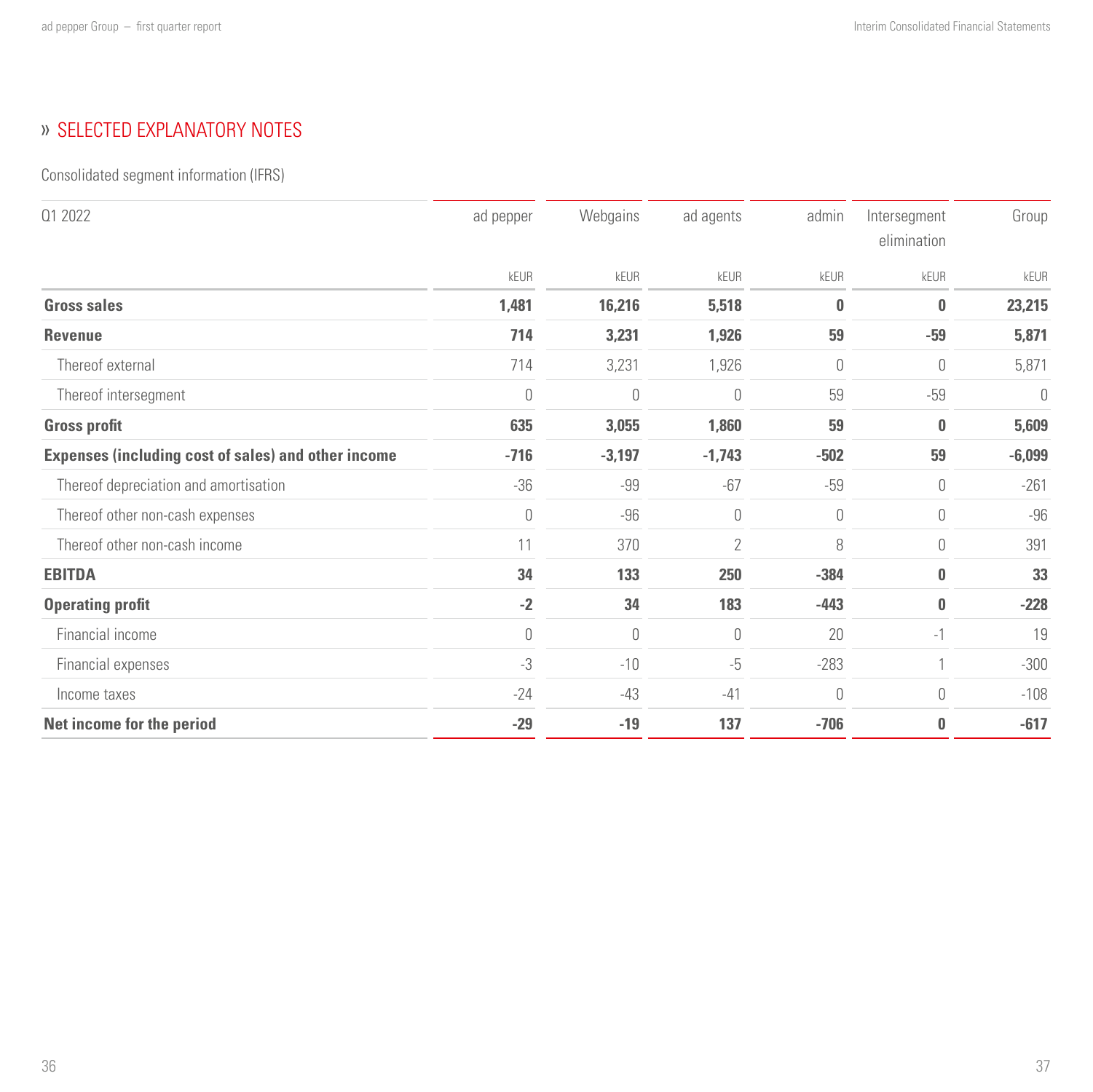# <span id="page-18-0"></span>» SELECTED EXPLANATORY NOTES

Consolidated segment information (IFRS)

| 01 2022                                             | ad pepper | Webgains | ad agents      | admin    | Intersegment<br>elimination | Group    |
|-----------------------------------------------------|-----------|----------|----------------|----------|-----------------------------|----------|
|                                                     | kEUR      | kEUR     | kEUR           | kEUR     | kEUR                        | kEUR     |
| <b>Gross sales</b>                                  | 1,481     | 16,216   | 5,518          | $\bf{0}$ | 0                           | 23,215   |
| <b>Revenue</b>                                      | 714       | 3,231    | 1,926          | 59       | $-59$                       | 5,871    |
| Thereof external                                    | 714       | 3,231    | 1,926          | 0        | $\theta$                    | 5,871    |
| Thereof intersegment                                | $\theta$  | 0        | 0              | 59       | $-59$                       | 0        |
| <b>Gross profit</b>                                 | 635       | 3,055    | 1,860          | 59       | $\bf{0}$                    | 5,609    |
| Expenses (including cost of sales) and other income | $-716$    | $-3,197$ | $-1,743$       | $-502$   | 59                          | $-6,099$ |
| Thereof depreciation and amortisation               | $-36$     | $-99$    | $-67$          | $-59$    | $\theta$                    | $-261$   |
| Thereof other non-cash expenses                     | $\theta$  | $-96$    | 0              | 0        | $\theta$                    | $-96$    |
| Thereof other non-cash income                       | 11        | 370      | $\overline{2}$ | 8        | $\theta$                    | 391      |
| <b>EBITDA</b>                                       | 34        | 133      | 250            | $-384$   | $\bf{0}$                    | 33       |
| <b>Operating profit</b>                             | $-2$      | 34       | 183            | $-443$   | $\bf{0}$                    | $-228$   |
| Financial income                                    | $\theta$  | 0        | $\overline{0}$ | 20       | $-1$                        | 19       |
| Financial expenses                                  | $-3$      | $-10$    | $-5$           | $-283$   |                             | $-300$   |
| Income taxes                                        | $-24$     | $-43$    | $-41$          | 0        | $\theta$                    | $-108$   |
| Net income for the period                           | $-29$     | $-19$    | 137            | $-706$   | $\bf{0}$                    | $-617$   |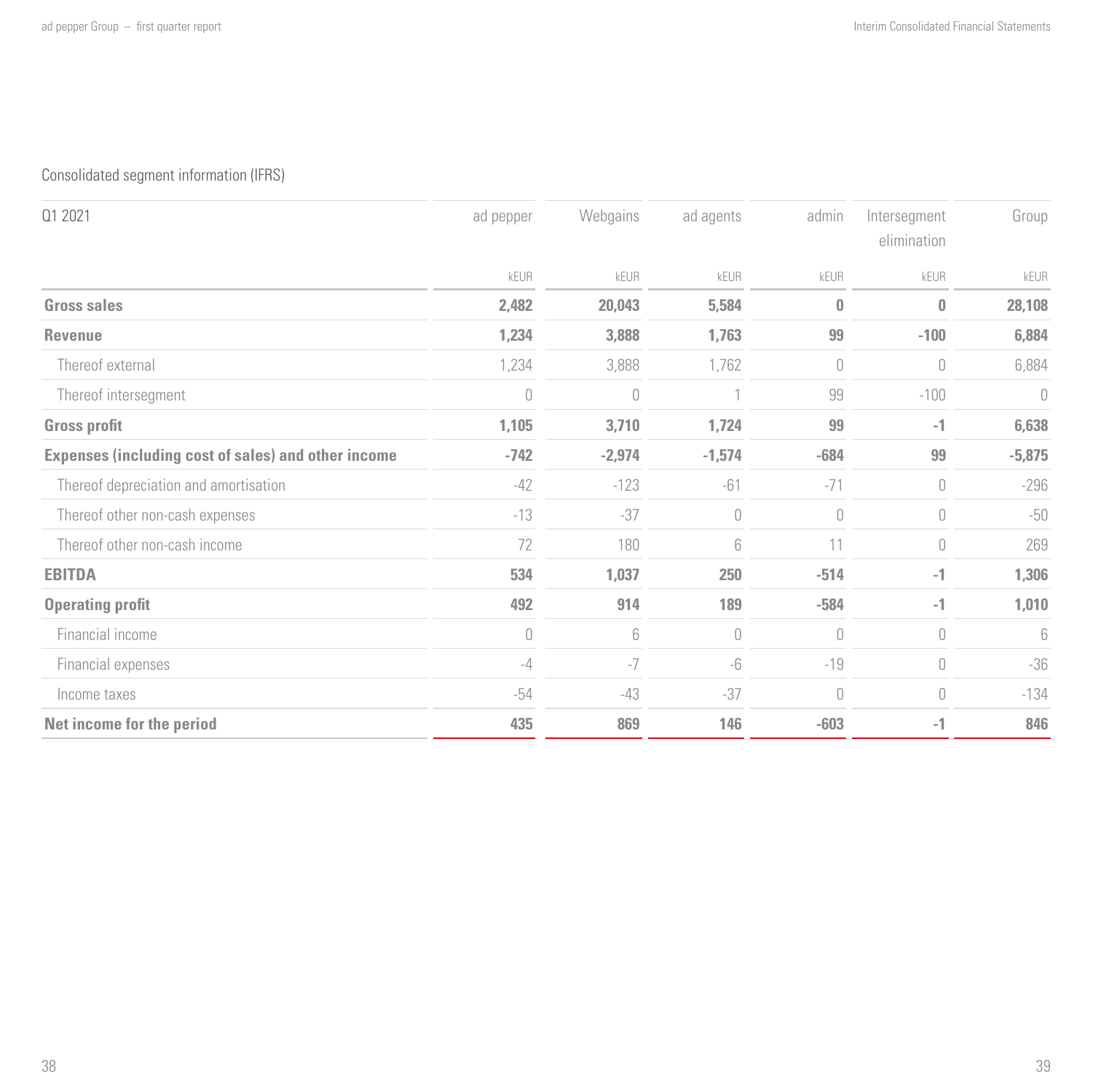## Consolidated segment information (IFRS)

| 01 2021                                             | ad pepper | Webgains | ad agents                            | admin    | Intersegment<br>elimination          | Group    |
|-----------------------------------------------------|-----------|----------|--------------------------------------|----------|--------------------------------------|----------|
|                                                     | kEUR      | kEUR     | kEUR                                 | kEUR     | kEUR                                 | kEUR     |
| Gross sales                                         | 2,482     | 20,043   | 5,584                                | 0        | 0                                    | 28,108   |
| Revenue                                             | 1,234     | 3,888    | 1,763                                | 99       | $-100$                               | 6,884    |
| Thereof external                                    | 1,234     | 3,888    | 1,762                                | 0        | $\theta$                             | 6,884    |
| Thereof intersegment                                | $\theta$  | 0        |                                      | 99       | $-100$                               | 0        |
| <b>Gross profit</b>                                 | 1,105     | 3,710    | 1,724                                | 99       | $-1$                                 | 6,638    |
| Expenses (including cost of sales) and other income | $-742$    | $-2,974$ | $-1,574$                             | $-684$   | 99                                   | $-5,875$ |
| Thereof depreciation and amortisation               | $-42$     | $-123$   | -61                                  | $-71$    | $\theta$                             | $-296$   |
| Thereof other non-cash expenses                     | $-13$     | $-37$    | $\begin{matrix} 0 \\ 0 \end{matrix}$ | 0        | $\theta$                             | $-50$    |
| Thereof other non-cash income                       | 72        | 180      | 6                                    | 11       | $\begin{matrix} 0 \\ 0 \end{matrix}$ | 269      |
| <b>EBITDA</b>                                       | 534       | 1,037    | 250                                  | $-514$   | $-1$                                 | 1,306    |
| <b>Operating profit</b>                             | 492       | 914      | 189                                  | $-584$   | $-1$                                 | 1,010    |
| Financial income                                    | $\theta$  | 6        | $\overline{0}$                       | 0        | $\cup$                               | 6        |
| Financial expenses                                  | $-4$      | $-7$     | -6                                   | $-19$    | $\overline{0}$                       | $-36$    |
| Income taxes                                        | $-54$     | $-43$    | $-37$                                | $\theta$ | $\overline{0}$                       | $-134$   |
| Net income for the period                           | 435       | 869      | 146                                  | $-603$   | $-1$                                 | 846      |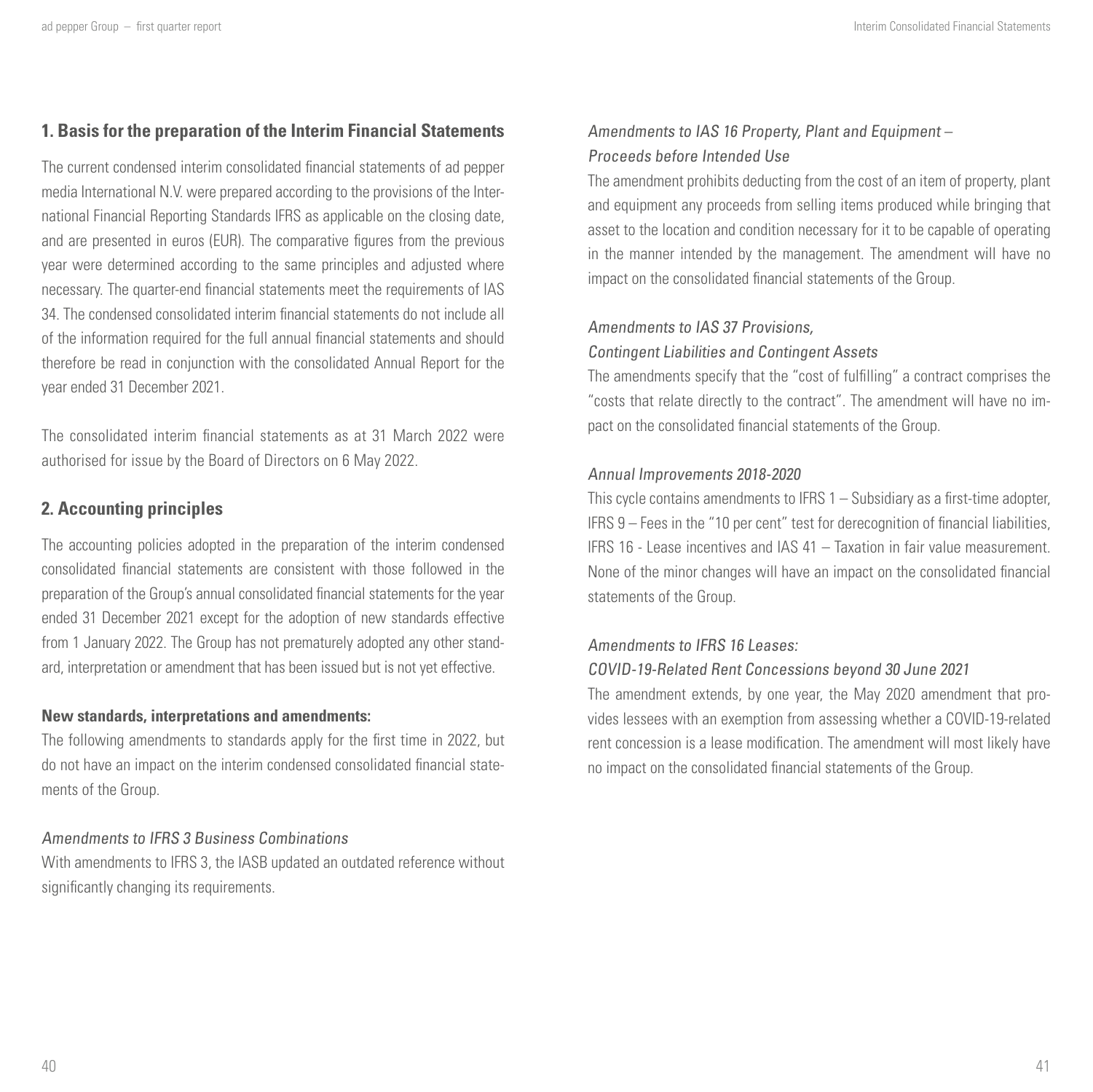#### **1. Basis for the preparation of the Interim Financial Statements**

The current condensed interim consolidated financial statements of ad pepper media International N.V. were prepared according to the provisions of the International Financial Reporting Standards IFRS as applicable on the closing date, and are presented in euros (EUR). The comparative figures from the previous year were determined according to the same principles and adjusted where necessary. The quarter-end financial statements meet the requirements of IAS 34. The condensed consolidated interim financial statements do not include all of the information required for the full annual financial statements and should therefore be read in conjunction with the consolidated Annual Report for the year ended 31 December 2021.

The consolidated interim financial statements as at 31 March 2022 were authorised for issue by the Board of Directors on 6 May 2022.

## **2. Accounting principles**

The accounting policies adopted in the preparation of the interim condensed consolidated financial statements are consistent with those followed in the preparation of the Group's annual consolidated financial statements for the year ended 31 December 2021 except for the adoption of new standards effective from 1 January 2022. The Group has not prematurely adopted any other standard, interpretation or amendment that has been issued but is not yet effective.

#### **New standards, interpretations and amendments:**

The following amendments to standards apply for the first time in 2022, but do not have an impact on the interim condensed consolidated financial statements of the Group.

#### Amendments to IFRS 3 Business Combinations

With amendments to IFRS 3, the IASB updated an outdated reference without significantly changing its requirements.

#### Amendments to IAS 16 Property, Plant and Equipment – Proceeds before Intended Use

The amendment prohibits deducting from the cost of an item of property, plant and equipment any proceeds from selling items produced while bringing that asset to the location and condition necessary for it to be capable of operating in the manner intended by the management. The amendment will have no impact on the consolidated financial statements of the Group.

#### Amendments to IAS 37 Provisions,

#### Contingent Liabilities and Contingent Assets

The amendments specify that the "cost of fulfilling" a contract comprises the "costs that relate directly to the contract". The amendment will have no impact on the consolidated financial statements of the Group.

#### Annual Improvements 2018-2020

This cycle contains amendments to IFRS 1 – Subsidiary as a first-time adopter, IFRS 9 – Fees in the "10 per cent" test for derecognition of financial liabilities, IFRS 16 - Lease incentives and IAS 41 – Taxation in fair value measurement. None of the minor changes will have an impact on the consolidated financial statements of the Group.

#### Amendments to IFRS 16 Leases:

#### COVID-19-Related Rent Concessions beyond 30 June 2021

The amendment extends, by one year, the May 2020 amendment that provides lessees with an exemption from assessing whether a COVID-19-related rent concession is a lease modification. The amendment will most likely have no impact on the consolidated financial statements of the Group.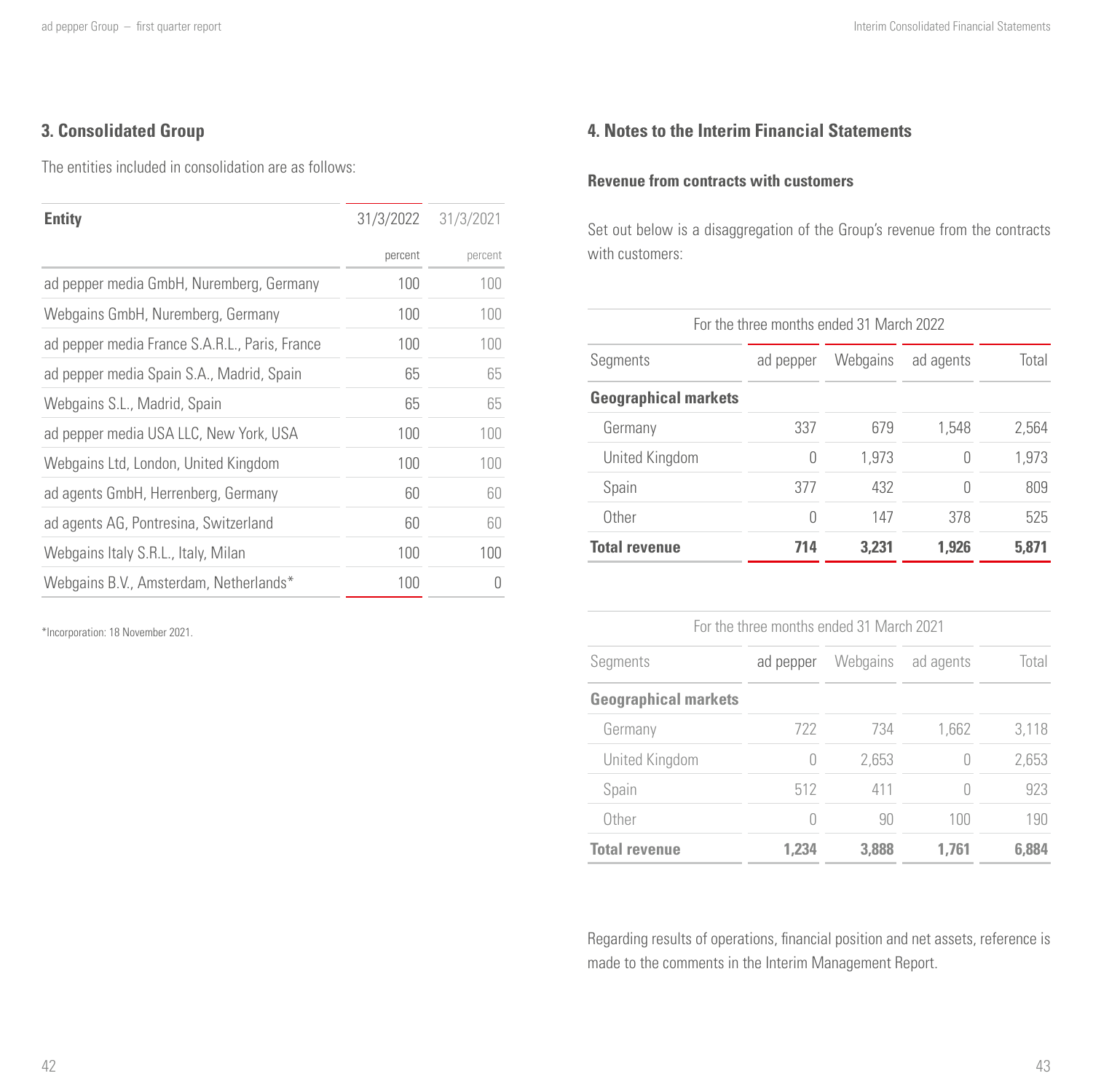## **3. Consolidated Group**

The entities included in consolidation are as follows:

| <b>Entity</b>                                  | 31/3/2022 | 31/3/2021 |
|------------------------------------------------|-----------|-----------|
|                                                | percent   | percent   |
| ad pepper media GmbH, Nuremberg, Germany       | 100       | 100       |
| Webgains GmbH, Nuremberg, Germany              | 100       | 100       |
| ad pepper media France S.A.R.L., Paris, France | 100       | 100       |
| ad pepper media Spain S.A., Madrid, Spain      | 65        | 65        |
| Webgains S.L., Madrid, Spain                   | 65        | 65        |
| ad pepper media USA LLC, New York, USA         | 100       | 100       |
| Webgains Ltd, London, United Kingdom           | 100       | 100       |
| ad agents GmbH, Herrenberg, Germany            | 60        | 60        |
| ad agents AG, Pontresina, Switzerland          | 60        | 60        |
| Webgains Italy S.R.L., Italy, Milan            | 100       | 100       |
| Webgains B.V., Amsterdam, Netherlands*         | 100       | Π         |
|                                                |           |           |

\*Incorporation: 18 November 2021.

## **4. Notes to the Interim Financial Statements**

## **Revenue from contracts with customers**

Set out below is a disaggregation of the Group's revenue from the contracts with customers:

|                             | For the three months ended 31 March 2022 |          |           |       |
|-----------------------------|------------------------------------------|----------|-----------|-------|
| Segments                    | ad pepper                                | Webgains | ad agents | Total |
| <b>Geographical markets</b> |                                          |          |           |       |
| Germany                     | 337                                      | 679      | 1.548     | 2.564 |
| United Kingdom              | 0                                        | 1.973    |           | 1.973 |
| Spain                       | 377                                      | 432      |           | 809   |
| Other                       | 0                                        | 147      | 378       | 525   |
| <b>Total revenue</b>        | 714                                      | 3.231    | 1.926     | 5.871 |

| For the three months ended 31 March 2021 |                  |          |           |       |  |
|------------------------------------------|------------------|----------|-----------|-------|--|
| Segments                                 | ad pepper        | Webgains | ad agents | Total |  |
| <b>Geographical markets</b>              |                  |          |           |       |  |
| Germany                                  | 722              | 734      | 1,662     | 3.118 |  |
| United Kingdom                           | $\left( \right)$ | 2.653    |           | 2,653 |  |
| Spain                                    | 512              | 411      |           | 923   |  |
| Other                                    |                  | 90       | 100       | 190   |  |
| <b>Total revenue</b>                     | 1.234            | 3.888    | 1.761     | 6.884 |  |

Regarding results of operations, financial position and net assets, reference is made to the comments in the Interim Management Report.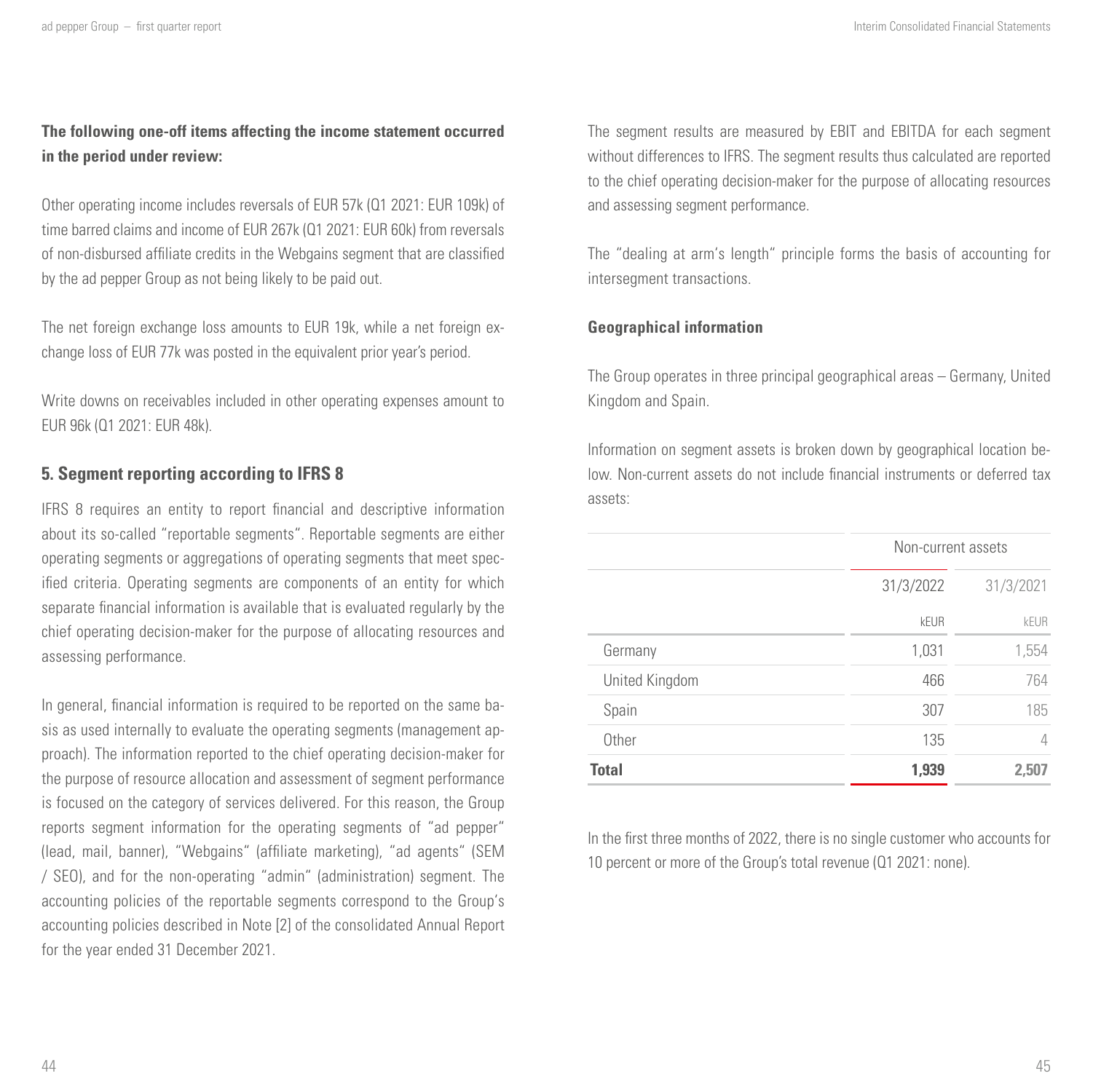## **The following one-off items affecting the income statement occurred in the period under review:**

Other operating income includes reversals of EUR 57k (Q1 2021: EUR 109k) of time barred claims and income of EUR 267k (Q1 2021: EUR 60k) from reversals of non-disbursed affiliate credits in the Webgains segment that are classified by the ad pepper Group as not being likely to be paid out.

The net foreign exchange loss amounts to EUR 19k, while a net foreign exchange loss of EUR 77k was posted in the equivalent prior year's period.

Write downs on receivables included in other operating expenses amount to EUR 96k (Q1 2021: EUR 48k).

#### **5. Segment reporting according to IFRS 8**

IFRS 8 requires an entity to report financial and descriptive information about its so-called "reportable segments". Reportable segments are either operating segments or aggregations of operating segments that meet specified criteria. Operating segments are components of an entity for which separate financial information is available that is evaluated regularly by the chief operating decision-maker for the purpose of allocating resources and assessing performance.

In general, financial information is required to be reported on the same basis as used internally to evaluate the operating segments (management approach). The information reported to the chief operating decision-maker for the purpose of resource allocation and assessment of segment performance is focused on the category of services delivered. For this reason, the Group reports segment information for the operating segments of "ad pepper" (lead, mail, banner), "Webgains" (affiliate marketing), "ad agents" (SEM / SEO), and for the non-operating "admin" (administration) segment. The accounting policies of the reportable segments correspond to the Group's accounting policies described in Note [2] of the consolidated Annual Report for the year ended 31 December 2021.

The segment results are measured by EBIT and EBITDA for each segment without differences to IFRS. The segment results thus calculated are reported to the chief operating decision-maker for the purpose of allocating resources and assessing segment performance.

The "dealing at arm's length" principle forms the basis of accounting for intersegment transactions.

#### **Geographical information**

The Group operates in three principal geographical areas – Germany, United Kingdom and Spain.

Information on segment assets is broken down by geographical location below. Non-current assets do not include financial instruments or deferred tax assets:

|                | Non-current assets |           |  |
|----------------|--------------------|-----------|--|
|                | 31/3/2022          | 31/3/2021 |  |
|                | kEUR               | kFUR      |  |
| Germany        | 1,031              | 1,554     |  |
| United Kingdom | 466                | 764       |  |
| Spain          | 307                | 185       |  |
| Other          | 135                | 4         |  |
| <b>Total</b>   | 1,939              | 2,507     |  |

In the first three months of 2022, there is no single customer who accounts for 10 percent or more of the Group's total revenue (Q1 2021: none).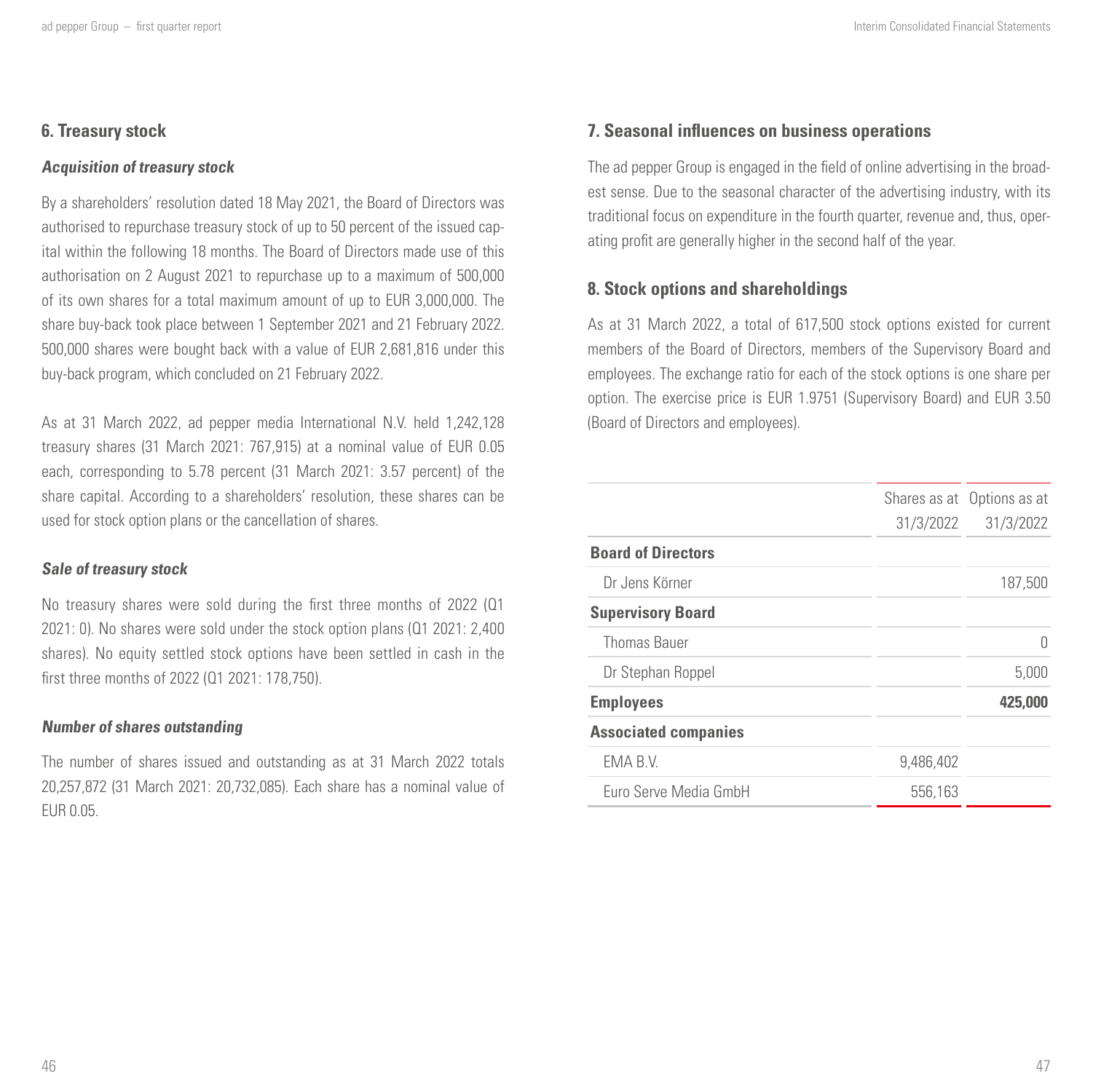## **6. Treasury stock**

#### **Acquisition of treasury stock**

By a shareholders' resolution dated 18 May 2021, the Board of Directors was authorised to repurchase treasury stock of up to 50 percent of the issued capital within the following 18 months. The Board of Directors made use of this authorisation on 2 August 2021 to repurchase up to a maximum of 500,000 of its own shares for a total maximum amount of up to EUR 3,000,000. The share buy-back took place between 1 September 2021 and 21 February 2022. 500,000 shares were bought back with a value of EUR 2,681,816 under this buy-back program, which concluded on 21 February 2022.

As at 31 March 2022, ad pepper media International N.V. held 1,242,128 treasury shares (31 March 2021: 767,915) at a nominal value of EUR 0.05 each, corresponding to 5.78 percent (31 March 2021: 3.57 percent) of the share capital. According to a shareholders' resolution, these shares can be used for stock option plans or the cancellation of shares.

#### **Sale of treasury stock**

No treasury shares were sold during the first three months of 2022 (Q1 2021: 0). No shares were sold under the stock option plans (Q1 2021: 2,400 shares). No equity settled stock options have been settled in cash in the first three months of 2022 (Q1 2021: 178,750).

#### **Number of shares outstanding**

The number of shares issued and outstanding as at 31 March 2022 totals 20,257,872 (31 March 2021: 20,732,085). Each share has a nominal value of EUR 0.05.

## **7. Seasonal influences on business operations**

The ad pepper Group is engaged in the field of online advertising in the broadest sense. Due to the seasonal character of the advertising industry, with its traditional focus on expenditure in the fourth quarter, revenue and, thus, operating profit are generally higher in the second half of the year.

## **8. Stock options and shareholdings**

As at 31 March 2022, a total of 617,500 stock options existed for current members of the Board of Directors, members of the Supervisory Board and employees. The exchange ratio for each of the stock options is one share per option. The exercise price is EUR 1.9751 (Supervisory Board) and EUR 3.50 (Board of Directors and employees).

|                             |           | Shares as at Options as at |
|-----------------------------|-----------|----------------------------|
|                             | 31/3/2022 | 31/3/2022                  |
| <b>Board of Directors</b>   |           |                            |
| Dr Jens Körner              |           | 187,500                    |
| <b>Supervisory Board</b>    |           |                            |
| Thomas Bauer                |           | 0                          |
| Dr Stephan Roppel           |           | 5.000                      |
| <b>Employees</b>            |           | 425,000                    |
| <b>Associated companies</b> |           |                            |
| EMA B.V.                    | 9,486,402 |                            |
| Euro Serve Media GmbH       | 556,163   |                            |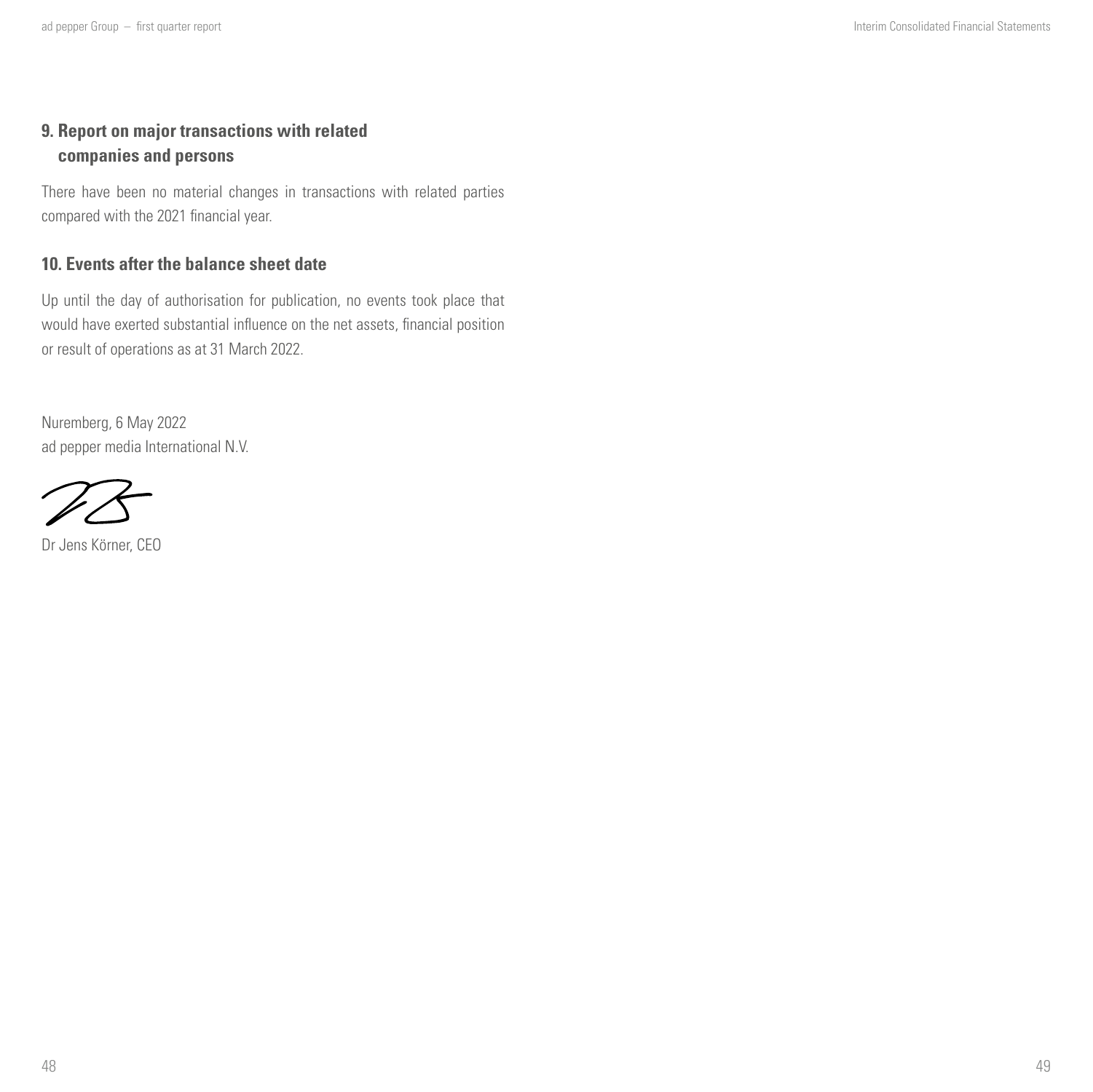## **9. Report on major transactions with related companies and persons**

There have been no material changes in transactions with related parties compared with the 2021 financial year.

## **10. Events after the balance sheet date**

Up until the day of authorisation for publication, no events took place that would have exerted substantial influence on the net assets, financial position or result of operations as at 31 March 2022.

Nuremberg, 6 May 2022 ad pepper media International N.V.

Dr Jens Körner, CEO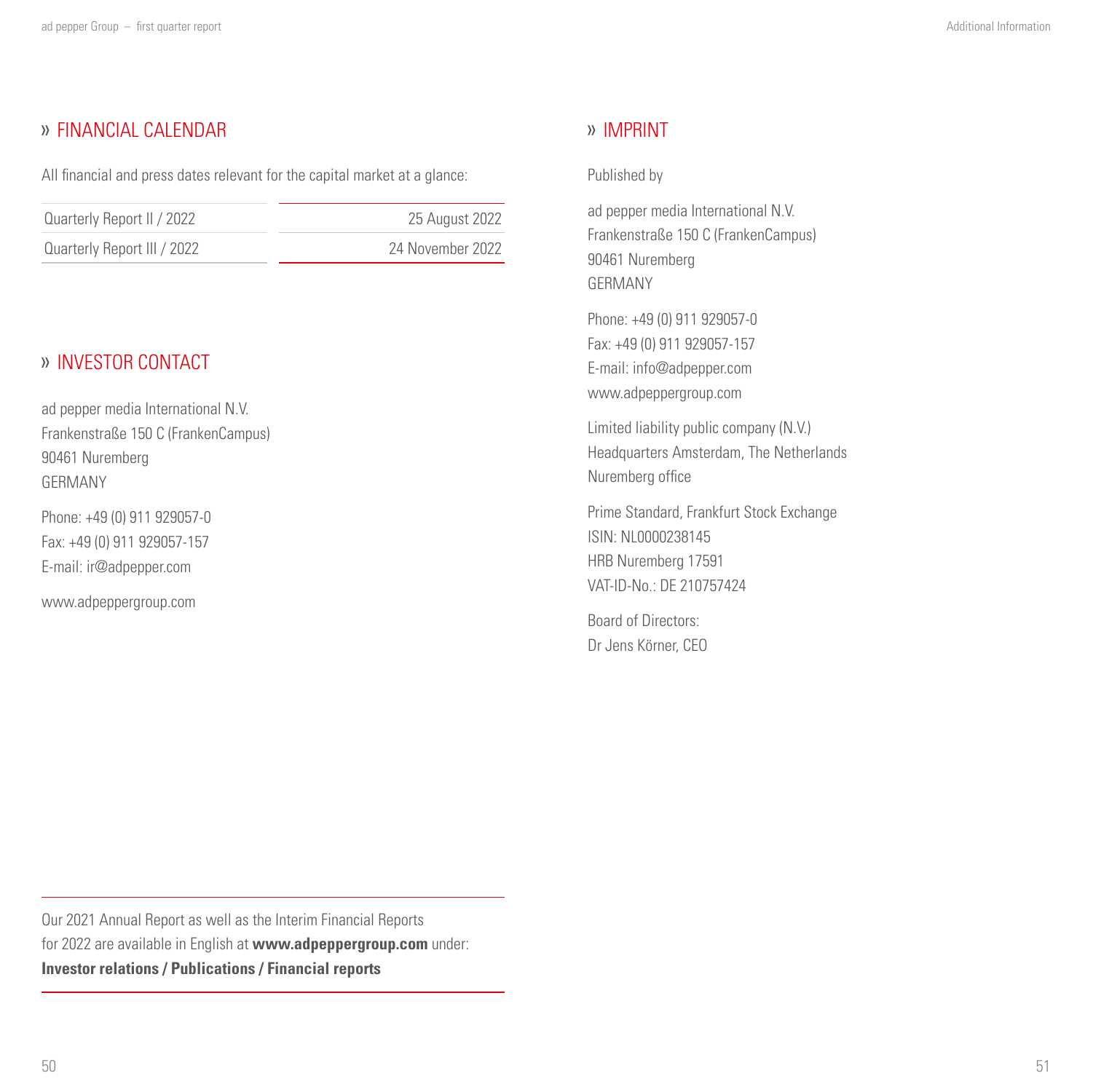## <span id="page-25-0"></span>FINANCIAL CALENDAR

All financial and press dates relevant for the capital market at a glance:

| Quarterly Report II / 2022  | 25 August 2022   |
|-----------------------------|------------------|
| Quarterly Report III / 2022 | 24 November 2022 |

## INVESTOR CONTACT

ad pepper media International N.V. Frankenstraße 150 C (FrankenCampus) 90461 Nuremberg GERMANY

Phone: +49 (0) 911 929057-0 Fax: +49 (0) 911 929057-157 E-mail: ir@adpepper.com

www.adpeppergroup.com

## IMPRINT

#### Published by

ad pepper media International N.V. Frankenstraße 150 C (FrankenCampus) 90461 Nuremberg GERMANY

Phone: +49 (0) 911 929057-0 Fax: +49 (0) 911 929057-157 E-mail: info@adpepper.com www.adpeppergroup.com

Limited liability public company (N.V.) Headquarters Amsterdam, The Netherlands Nuremberg office

Prime Standard, Frankfurt Stock Exchange ISIN: NL0000238145 HRB Nuremberg 17591 VAT-ID-No.: DE 210757424

Board of Directors: Dr Jens Körner, CEO

Our 2021 Annual Report as well as the Interim Financial Reports for 2022 are available in English at **www.adpeppergroup.com** under: **Investor relations / Publications / Financial reports**